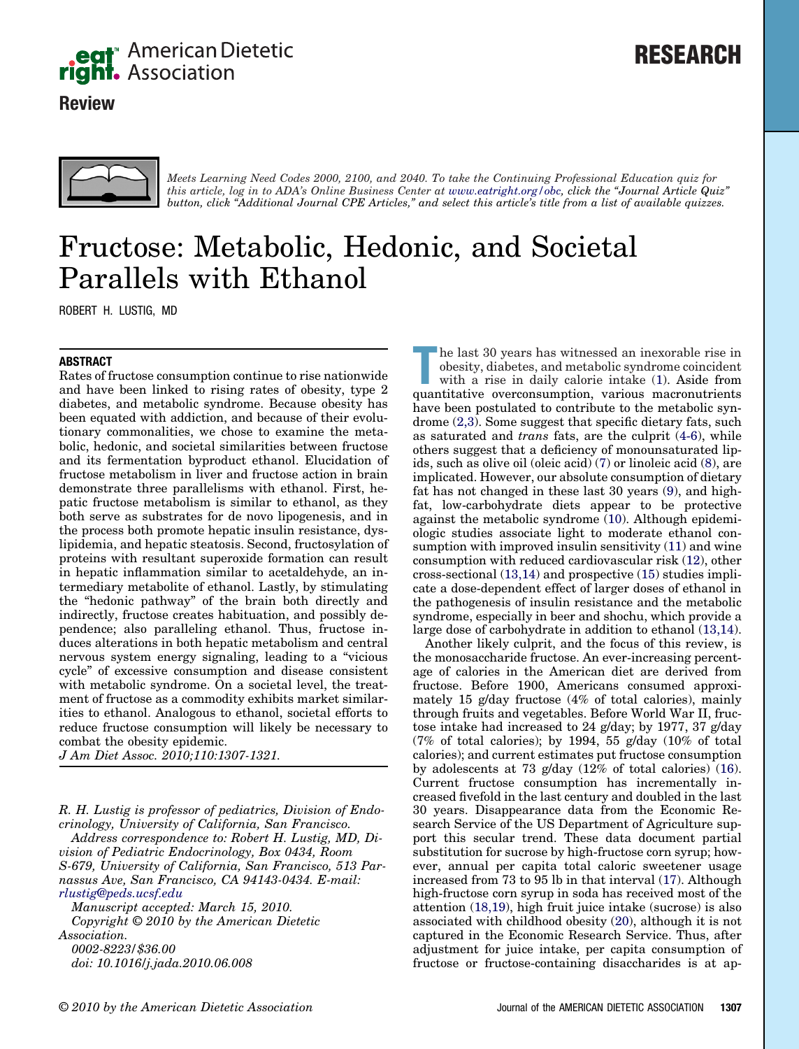

# **Review**





*Meets Learning Need Codes 2000, 2100, and 2040. To take the Continuing Professional Education quiz for this article, log in to ADA's Online Business Center at [www.eatright.org/obc,](https://www.eatright.org/obc) click the "Journal Article Quiz" button, click "Additional Journal CPE Articles," and select this article's title from a list of available quizzes.*

# Fructose: Metabolic, Hedonic, and Societal Parallels with Ethanol

ROBERT H. LUSTIG, MD

# **ABSTRACT**

Rates of fructose consumption continue to rise nationwide and have been linked to rising rates of obesity, type 2 diabetes, and metabolic syndrome. Because obesity has been equated with addiction, and because of their evolutionary commonalities, we chose to examine the metabolic, hedonic, and societal similarities between fructose and its fermentation byproduct ethanol. Elucidation of fructose metabolism in liver and fructose action in brain demonstrate three parallelisms with ethanol. First, hepatic fructose metabolism is similar to ethanol, as they both serve as substrates for de novo lipogenesis, and in the process both promote hepatic insulin resistance, dyslipidemia, and hepatic steatosis. Second, fructosylation of proteins with resultant superoxide formation can result in hepatic inflammation similar to acetaldehyde, an intermediary metabolite of ethanol. Lastly, by stimulating the "hedonic pathway" of the brain both directly and indirectly, fructose creates habituation, and possibly dependence; also paralleling ethanol. Thus, fructose induces alterations in both hepatic metabolism and central nervous system energy signaling, leading to a "vicious cycle" of excessive consumption and disease consistent with metabolic syndrome. On a societal level, the treatment of fructose as a commodity exhibits market similarities to ethanol. Analogous to ethanol, societal efforts to reduce fructose consumption will likely be necessary to combat the obesity epidemic.

*J Am Diet Assoc. 2010;110:1307-1321.*

*R. H. Lustig is professor of pediatrics, Division of Endocrinology, University of California, San Francisco.*

*Address correspondence to: Robert H. Lustig, MD, Division of Pediatric Endocrinology, Box 0434, Room S-679, University of California, San Francisco, 513 Parnassus Ave, San Francisco, CA 94143-0434. E-mail: [rlustig@peds.ucsf.edu](mailto:rlustig@peds.ucsf.edu)*

*Manuscript accepted: March 15, 2010. Copyright © 2010 by the American Dietetic Association. 0002-8223/\$36.00*

*doi: 10.1016/j.jada.2010.06.008*

The last 30 years has witnessed an inexorable rise in obesity, diabetes, and metabolic syndrome coincident with a rise in daily calorie intake (1). Aside from quantitative overconsumption, various macronutrients he last 30 years has witnessed an inexorable rise in obesity, diabetes, and metabolic syndrome coincident with a rise in daily calorie intake (1). Aside from have been postulated to contribute to the metabolic syndrome (2,3). Some suggest that specific dietary fats, such as saturated and *trans* fats, are the culprit (4-6), while others suggest that a deficiency of monounsaturated lipids, such as olive oil (oleic acid) (7) or linoleic acid (8), are implicated. However, our absolute consumption of dietary fat has not changed in these last 30 years (9), and highfat, low-carbohydrate diets appear to be protective against the metabolic syndrome (10). Although epidemiologic studies associate light to moderate ethanol consumption with improved insulin sensitivity (11) and wine consumption with reduced cardiovascular risk (12), other cross-sectional (13,14) and prospective (15) studies implicate a dose-dependent effect of larger doses of ethanol in the pathogenesis of insulin resistance and the metabolic syndrome, especially in beer and shochu, which provide a large dose of carbohydrate in addition to ethanol (13,14).

Another likely culprit, and the focus of this review, is the monosaccharide fructose. An ever-increasing percentage of calories in the American diet are derived from fructose. Before 1900, Americans consumed approximately 15 g/day fructose (4% of total calories), mainly through fruits and vegetables. Before World War II, fructose intake had increased to 24 g/day; by 1977, 37 g/day (7% of total calories); by 1994, 55 g/day (10% of total calories); and current estimates put fructose consumption by adolescents at 73 g/day (12% of total calories) (16). Current fructose consumption has incrementally increased fivefold in the last century and doubled in the last 30 years. Disappearance data from the Economic Research Service of the US Department of Agriculture support this secular trend. These data document partial substitution for sucrose by high-fructose corn syrup; however, annual per capita total caloric sweetener usage increased from 73 to 95 lb in that interval (17). Although high-fructose corn syrup in soda has received most of the attention (18,19), high fruit juice intake (sucrose) is also associated with childhood obesity (20), although it is not captured in the Economic Research Service. Thus, after adjustment for juice intake, per capita consumption of fructose or fructose-containing disaccharides is at ap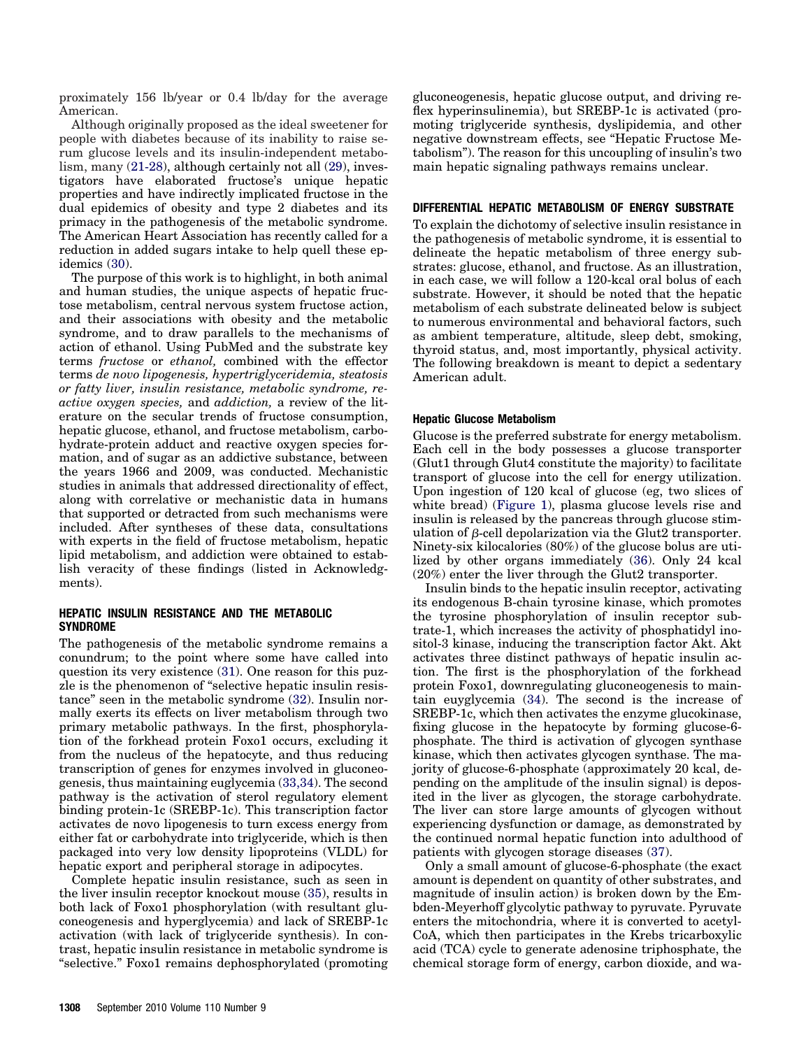proximately 156 lb/year or 0.4 lb/day for the average American.

Although originally proposed as the ideal sweetener for people with diabetes because of its inability to raise serum glucose levels and its insulin-independent metabolism, many (21-28), although certainly not all (29), investigators have elaborated fructose's unique hepatic properties and have indirectly implicated fructose in the dual epidemics of obesity and type 2 diabetes and its primacy in the pathogenesis of the metabolic syndrome. The American Heart Association has recently called for a reduction in added sugars intake to help quell these epidemics (30).

The purpose of this work is to highlight, in both animal and human studies, the unique aspects of hepatic fructose metabolism, central nervous system fructose action, and their associations with obesity and the metabolic syndrome, and to draw parallels to the mechanisms of action of ethanol. Using PubMed and the substrate key terms *fructose* or *ethanol,* combined with the effector terms *de novo lipogenesis, hypertriglyceridemia, steatosis or fatty liver, insulin resistance, metabolic syndrome, reactive oxygen species,* and *addiction,* a review of the literature on the secular trends of fructose consumption, hepatic glucose, ethanol, and fructose metabolism, carbohydrate-protein adduct and reactive oxygen species formation, and of sugar as an addictive substance, between the years 1966 and 2009, was conducted. Mechanistic studies in animals that addressed directionality of effect, along with correlative or mechanistic data in humans that supported or detracted from such mechanisms were included. After syntheses of these data, consultations with experts in the field of fructose metabolism, hepatic lipid metabolism, and addiction were obtained to establish veracity of these findings (listed in Acknowledgments).

# **HEPATIC INSULIN RESISTANCE AND THE METABOLIC SYNDROME**

The pathogenesis of the metabolic syndrome remains a conundrum; to the point where some have called into question its very existence (31). One reason for this puzzle is the phenomenon of "selective hepatic insulin resistance" seen in the metabolic syndrome (32). Insulin normally exerts its effects on liver metabolism through two primary metabolic pathways. In the first, phosphorylation of the forkhead protein Foxo1 occurs, excluding it from the nucleus of the hepatocyte, and thus reducing transcription of genes for enzymes involved in gluconeogenesis, thus maintaining euglycemia (33,34). The second pathway is the activation of sterol regulatory element binding protein-1c (SREBP-1c). This transcription factor activates de novo lipogenesis to turn excess energy from either fat or carbohydrate into triglyceride, which is then packaged into very low density lipoproteins (VLDL) for hepatic export and peripheral storage in adipocytes.

Complete hepatic insulin resistance, such as seen in the liver insulin receptor knockout mouse (35), results in both lack of Foxo1 phosphorylation (with resultant gluconeogenesis and hyperglycemia) and lack of SREBP-1c activation (with lack of triglyceride synthesis). In contrast, hepatic insulin resistance in metabolic syndrome is "selective." Foxo1 remains dephosphorylated (promoting gluconeogenesis, hepatic glucose output, and driving reflex hyperinsulinemia), but SREBP-1c is activated (promoting triglyceride synthesis, dyslipidemia, and other negative downstream effects, see "Hepatic Fructose Metabolism"). The reason for this uncoupling of insulin's two main hepatic signaling pathways remains unclear.

## **DIFFERENTIAL HEPATIC METABOLISM OF ENERGY SUBSTRATE**

To explain the dichotomy of selective insulin resistance in the pathogenesis of metabolic syndrome, it is essential to delineate the hepatic metabolism of three energy substrates: glucose, ethanol, and fructose. As an illustration, in each case, we will follow a 120-kcal oral bolus of each substrate. However, it should be noted that the hepatic metabolism of each substrate delineated below is subject to numerous environmental and behavioral factors, such as ambient temperature, altitude, sleep debt, smoking, thyroid status, and, most importantly, physical activity. The following breakdown is meant to depict a sedentary American adult.

#### **Hepatic Glucose Metabolism**

Glucose is the preferred substrate for energy metabolism. Each cell in the body possesses a glucose transporter (Glut1 through Glut4 constitute the majority) to facilitate transport of glucose into the cell for energy utilization. Upon ingestion of 120 kcal of glucose (eg, two slices of white bread) (Figure 1), plasma glucose levels rise and insulin is released by the pancreas through glucose stimulation of  $\beta$ -cell depolarization via the Glut2 transporter. Ninety-six kilocalories (80%) of the glucose bolus are utilized by other organs immediately (36). Only 24 kcal (20%) enter the liver through the Glut2 transporter.

Insulin binds to the hepatic insulin receptor, activating its endogenous B-chain tyrosine kinase, which promotes the tyrosine phosphorylation of insulin receptor subtrate-1, which increases the activity of phosphatidyl inositol-3 kinase, inducing the transcription factor Akt. Akt activates three distinct pathways of hepatic insulin action. The first is the phosphorylation of the forkhead protein Foxo1, downregulating gluconeogenesis to maintain euyglycemia (34). The second is the increase of SREBP-1c, which then activates the enzyme glucokinase, fixing glucose in the hepatocyte by forming glucose-6 phosphate. The third is activation of glycogen synthase kinase, which then activates glycogen synthase. The majority of glucose-6-phosphate (approximately 20 kcal, depending on the amplitude of the insulin signal) is deposited in the liver as glycogen, the storage carbohydrate. The liver can store large amounts of glycogen without experiencing dysfunction or damage, as demonstrated by the continued normal hepatic function into adulthood of patients with glycogen storage diseases (37).

Only a small amount of glucose-6-phosphate (the exact amount is dependent on quantity of other substrates, and magnitude of insulin action) is broken down by the Embden-Meyerhoff glycolytic pathway to pyruvate. Pyruvate enters the mitochondria, where it is converted to acetyl-CoA, which then participates in the Krebs tricarboxylic acid (TCA) cycle to generate adenosine triphosphate, the chemical storage form of energy, carbon dioxide, and wa-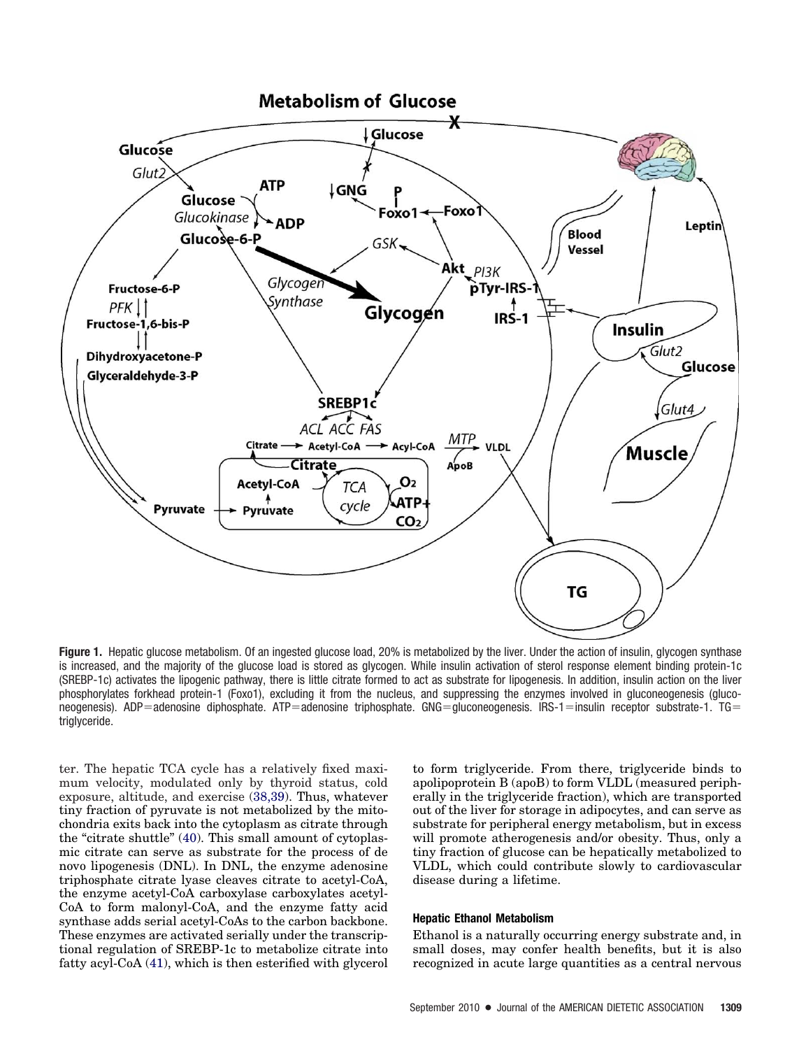

**Figure 1.** Hepatic glucose metabolism. Of an ingested glucose load, 20% is metabolized by the liver. Under the action of insulin, glycogen synthase is increased, and the majority of the glucose load is stored as glycogen. While insulin activation of sterol response element binding protein-1c (SREBP-1c) activates the lipogenic pathway, there is little citrate formed to act as substrate for lipogenesis. In addition, insulin action on the liver phosphorylates forkhead protein-1 (Foxo1), excluding it from the nucleus, and suppressing the enzymes involved in gluconeogenesis (gluconeogenesis). ADP=adenosine diphosphate. ATP=adenosine triphosphate. GNG=gluconeogenesis. IRS-1=insulin receptor substrate-1. TG= triglyceride.

ter. The hepatic TCA cycle has a relatively fixed maximum velocity, modulated only by thyroid status, cold exposure, altitude, and exercise (38,39). Thus, whatever tiny fraction of pyruvate is not metabolized by the mitochondria exits back into the cytoplasm as citrate through the "citrate shuttle" (40). This small amount of cytoplasmic citrate can serve as substrate for the process of de novo lipogenesis (DNL). In DNL, the enzyme adenosine triphosphate citrate lyase cleaves citrate to acetyl-CoA, the enzyme acetyl-CoA carboxylase carboxylates acetyl-CoA to form malonyl-CoA, and the enzyme fatty acid synthase adds serial acetyl-CoAs to the carbon backbone. These enzymes are activated serially under the transcriptional regulation of SREBP-1c to metabolize citrate into fatty acyl-CoA (41), which is then esterified with glycerol to form triglyceride. From there, triglyceride binds to apolipoprotein B (apoB) to form VLDL (measured peripherally in the triglyceride fraction), which are transported out of the liver for storage in adipocytes, and can serve as substrate for peripheral energy metabolism, but in excess will promote atherogenesis and/or obesity. Thus, only a tiny fraction of glucose can be hepatically metabolized to VLDL, which could contribute slowly to cardiovascular disease during a lifetime.

#### **Hepatic Ethanol Metabolism**

Ethanol is a naturally occurring energy substrate and, in small doses, may confer health benefits, but it is also recognized in acute large quantities as a central nervous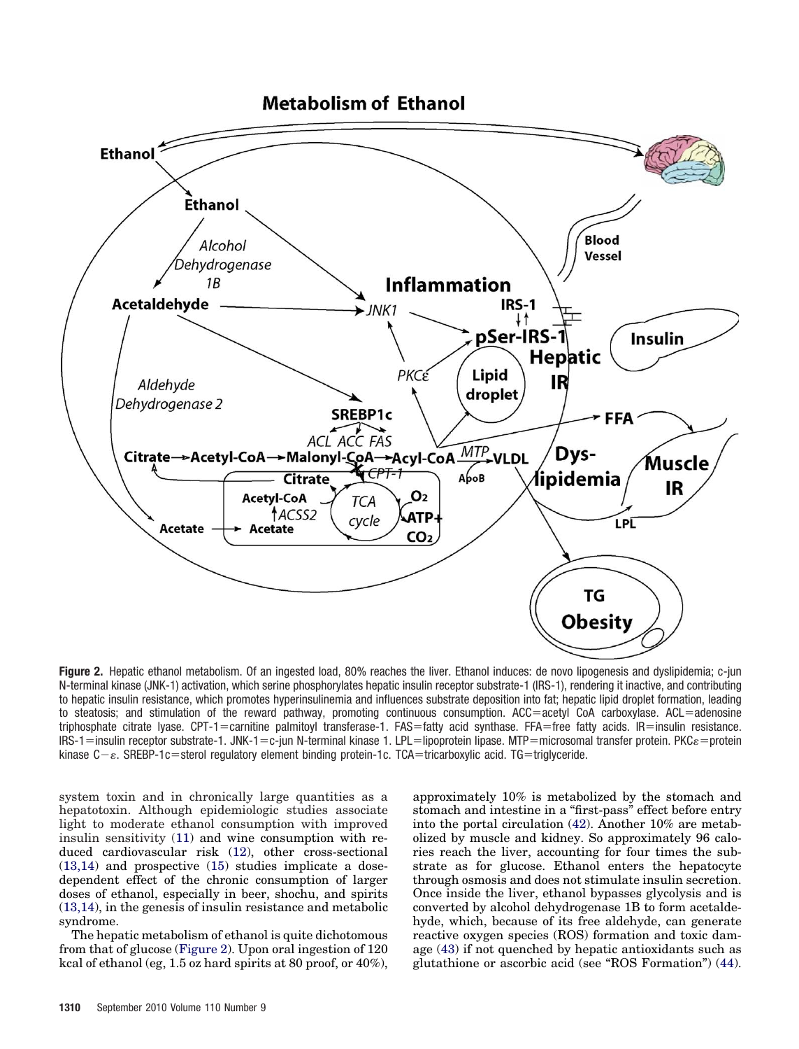

**Figure 2.** Hepatic ethanol metabolism. Of an ingested load, 80% reaches the liver. Ethanol induces: de novo lipogenesis and dyslipidemia; c-jun N-terminal kinase (JNK-1) activation, which serine phosphorylates hepatic insulin receptor substrate-1 (IRS-1), rendering it inactive, and contributing to hepatic insulin resistance, which promotes hyperinsulinemia and influences substrate deposition into fat; hepatic lipid droplet formation, leading to steatosis; and stimulation of the reward pathway, promoting continuous consumption. ACC=acetyl CoA carboxylase. ACL=adenosine triphosphate citrate lyase. CPT-1 = carnitine palmitoyl transferase-1. FAS = fatty acid synthase. FFA = free fatty acids. IR = insulin resistance. IRS-1=insulin receptor substrate-1. JNK-1=c-jun N-terminal kinase 1. LPL=lipoprotein lipase. MTP=microsomal transfer protein. PKC $\varepsilon$ =protein kinase C-&. SREBP-1c=sterol regulatory element binding protein-1c. TCA=tricarboxylic acid. TG=triglyceride.

system toxin and in chronically large quantities as a hepatotoxin. Although epidemiologic studies associate light to moderate ethanol consumption with improved insulin sensitivity (11) and wine consumption with reduced cardiovascular risk (12), other cross-sectional (13,14) and prospective (15) studies implicate a dosedependent effect of the chronic consumption of larger doses of ethanol, especially in beer, shochu, and spirits (13,14), in the genesis of insulin resistance and metabolic syndrome.

The hepatic metabolism of ethanol is quite dichotomous from that of glucose (Figure 2). Upon oral ingestion of 120 kcal of ethanol (eg, 1.5 oz hard spirits at 80 proof, or 40%), approximately 10% is metabolized by the stomach and stomach and intestine in a "first-pass" effect before entry into the portal circulation (42). Another 10% are metabolized by muscle and kidney. So approximately 96 calories reach the liver, accounting for four times the substrate as for glucose. Ethanol enters the hepatocyte through osmosis and does not stimulate insulin secretion. Once inside the liver, ethanol bypasses glycolysis and is converted by alcohol dehydrogenase 1B to form acetaldehyde, which, because of its free aldehyde, can generate reactive oxygen species (ROS) formation and toxic damage (43) if not quenched by hepatic antioxidants such as glutathione or ascorbic acid (see "ROS Formation") (44).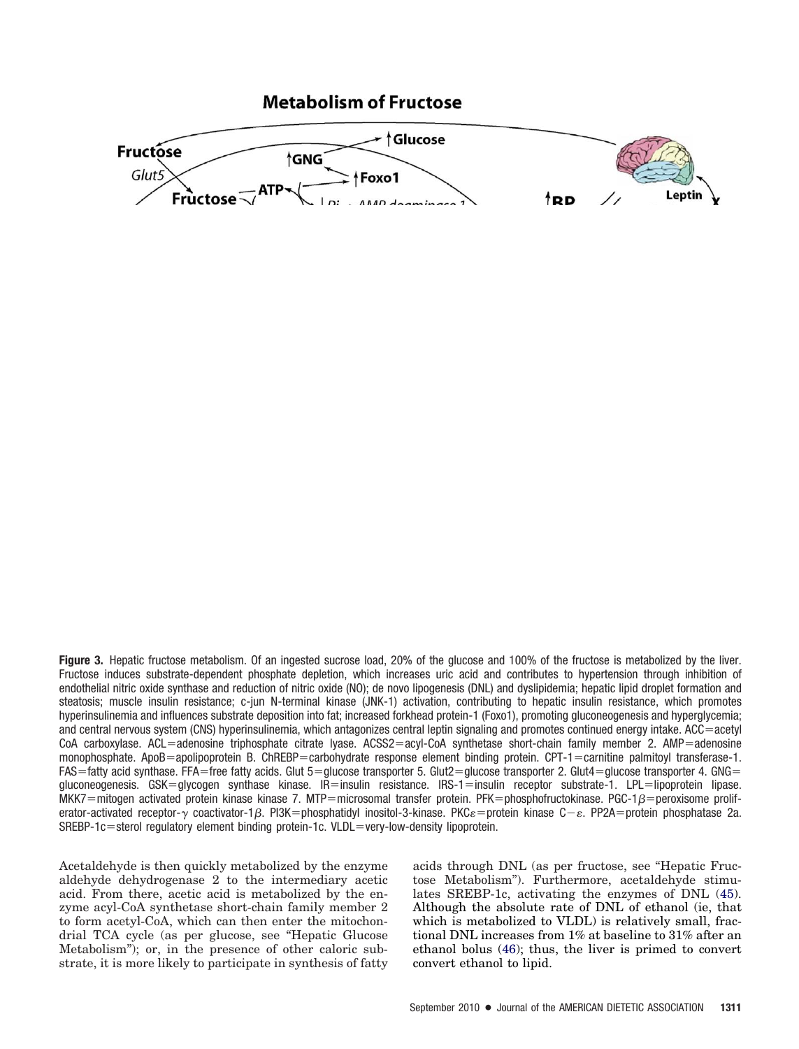**Figure 3.** Hepatic fructose metabolism. Of an ingested sucrose load, 20% of the glucose and 100% of the fructose is metabolized by the liver. Fructose induces substrate-dependent phosphate depletion, which increases uric acid and contributes to hypertension through inhibition of endothelial nitric oxide synthase and reduction of nitric oxide (NO); de novo lipogenesis (DNL) and dyslipidemia; hepatic lipid droplet formation and steatosis; muscle insulin resistance; c-jun N-terminal kinase (JNK-1) activation, contributing to hepatic insulin resistance, which promotes hyperinsulinemia and influences substrate deposition into fat; increased forkhead protein-1 (Foxo1), promoting gluconeogenesis and hyperglycemia; and central nervous system (CNS) hyperinsulinemia, which antagonizes central leptin signaling and promotes continued energy intake. ACC=acetyl  $CoA$  carboxylase. ACL=adenosine triphosphate citrate lyase. ACSS2=acyl-CoA synthetase short-chain family member 2. AMP=adenosine monophosphate. ApoB=apolipoprotein B. ChREBP=carbohydrate response element binding protein. CPT-1=carnitine palmitoyl transferase-1.  $FAS$  fatty acid synthase. FFA = free fatty acids. Glut 5 = glucose transporter 5. Glut2 = glucose transporter 2. Glut4 = glucose transporter 4. GNG = gluconeogenesis. GSK=glycogen synthase kinase. IR=insulin resistance. IRS-1=insulin receptor substrate-1. LPL=lipoprotein lipase.  $MKK7 = mitogen$  activated protein kinase kinase 7. MTP=microsomal transfer protein. PFK=phosphofructokinase. PGC-1 $\beta$ =peroxisome proliferator-activated receptor- $\gamma$  coactivator-1 $\beta$ . PI3K=phosphatidyl inositol-3-kinase. PKC $\varepsilon$ =protein kinase C– $\varepsilon$ . PP2A=protein phosphatase 2a.  $SREBP-1c$ =sterol regulatory element binding protein-1c. VLDL=very-low-density lipoprotein.

Acetaldehyde is then quickly metabolized by the enzyme aldehyde dehydrogenase 2 to the intermediary acetic acid. From there, acetic acid is metabolized by the enzyme acyl-CoA synthetase short-chain family member 2 to form acetyl-CoA, which can then enter the mitochondrial TCA cycle (as per glucose, see "Hepatic Glucose Metabolism"); or, in the presence of other caloric substrate, it is more likely to participate in synthesis of fatty acids through DNL (as per fructose, see "Hepatic Fructose Metabolism"). Furthermore, acetaldehyde stimulates SREBP-1c, activating the enzymes of DNL (45). Although the absolute rate of DNL of ethanol (ie, that which is metabolized to VLDL) is relatively small, fractional DNL increases from 1% at baseline to 31% after an ethanol bolus (46); thus, the liver is primed to convert convert ethanol to lipid.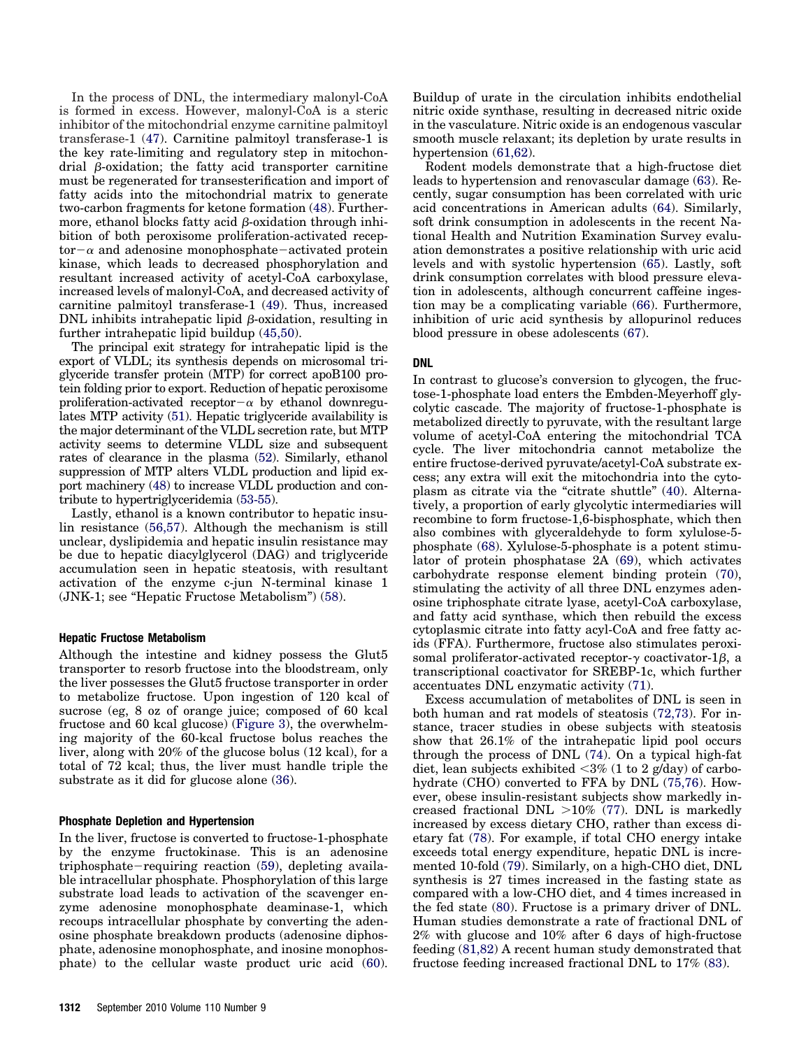In the process of DNL, the intermediary malonyl-CoA is formed in excess. However, malonyl-CoA is a steric inhibitor of the mitochondrial enzyme carnitine palmitoyl transferase-1 (47). Carnitine palmitoyl transferase-1 is the key rate-limiting and regulatory step in mitochondrial  $\beta$ -oxidation; the fatty acid transporter carnitine must be regenerated for transesterification and import of fatty acids into the mitochondrial matrix to generate two-carbon fragments for ketone formation (48). Furthermore, ethanol blocks fatty acid  $\beta$ -oxidation through inhibition of both peroxisome proliferation-activated receptor $-\alpha$  and adenosine monophosphate-activated protein kinase, which leads to decreased phosphorylation and resultant increased activity of acetyl-CoA carboxylase, increased levels of malonyl-CoA, and decreased activity of carnitine palmitoyl transferase-1 (49). Thus, increased DNL inhibits intrahepatic lipid  $\beta$ -oxidation, resulting in further intrahepatic lipid buildup (45,50).

The principal exit strategy for intrahepatic lipid is the export of VLDL; its synthesis depends on microsomal triglyceride transfer protein (MTP) for correct apoB100 protein folding prior to export. Reduction of hepatic peroxisome proliferation-activated receptor $-\alpha$  by ethanol downregulates MTP activity (51). Hepatic triglyceride availability is the major determinant of the VLDL secretion rate, but MTP activity seems to determine VLDL size and subsequent rates of clearance in the plasma (52). Similarly, ethanol suppression of MTP alters VLDL production and lipid export machinery (48) to increase VLDL production and contribute to hypertriglyceridemia (53-55).

Lastly, ethanol is a known contributor to hepatic insulin resistance (56,57). Although the mechanism is still unclear, dyslipidemia and hepatic insulin resistance may be due to hepatic diacylglycerol (DAG) and triglyceride accumulation seen in hepatic steatosis, with resultant activation of the enzyme c-jun N-terminal kinase 1 (JNK-1; see "Hepatic Fructose Metabolism") (58).

#### **Hepatic Fructose Metabolism**

Although the intestine and kidney possess the Glut5 transporter to resorb fructose into the bloodstream, only the liver possesses the Glut5 fructose transporter in order to metabolize fructose. Upon ingestion of 120 kcal of sucrose (eg, 8 oz of orange juice; composed of 60 kcal fructose and 60 kcal glucose) (Figure 3), the overwhelming majority of the 60-kcal fructose bolus reaches the liver, along with 20% of the glucose bolus (12 kcal), for a total of 72 kcal; thus, the liver must handle triple the substrate as it did for glucose alone (36).

#### **Phosphate Depletion and Hypertension**

In the liver, fructose is converted to fructose-1-phosphate by the enzyme fructokinase. This is an adenosine triphosphate-requiring reaction (59), depleting available intracellular phosphate. Phosphorylation of this large substrate load leads to activation of the scavenger enzyme adenosine monophosphate deaminase-1, which recoups intracellular phosphate by converting the adenosine phosphate breakdown products (adenosine diphosphate, adenosine monophosphate, and inosine monophosphate) to the cellular waste product uric acid (60). Buildup of urate in the circulation inhibits endothelial nitric oxide synthase, resulting in decreased nitric oxide in the vasculature. Nitric oxide is an endogenous vascular smooth muscle relaxant; its depletion by urate results in hypertension (61,62).

Rodent models demonstrate that a high-fructose diet leads to hypertension and renovascular damage (63). Recently, sugar consumption has been correlated with uric acid concentrations in American adults (64). Similarly, soft drink consumption in adolescents in the recent National Health and Nutrition Examination Survey evaluation demonstrates a positive relationship with uric acid levels and with systolic hypertension (65). Lastly, soft drink consumption correlates with blood pressure elevation in adolescents, although concurrent caffeine ingestion may be a complicating variable (66). Furthermore, inhibition of uric acid synthesis by allopurinol reduces blood pressure in obese adolescents (67).

#### **DNL**

In contrast to glucose's conversion to glycogen, the fructose-1-phosphate load enters the Embden-Meyerhoff glycolytic cascade. The majority of fructose-1-phosphate is metabolized directly to pyruvate, with the resultant large volume of acetyl-CoA entering the mitochondrial TCA cycle. The liver mitochondria cannot metabolize the entire fructose-derived pyruvate/acetyl-CoA substrate excess; any extra will exit the mitochondria into the cytoplasm as citrate via the "citrate shuttle" (40). Alternatively, a proportion of early glycolytic intermediaries will recombine to form fructose-1,6-bisphosphate, which then also combines with glyceraldehyde to form xylulose-5 phosphate (68). Xylulose-5-phosphate is a potent stimulator of protein phosphatase 2A (69), which activates carbohydrate response element binding protein (70), stimulating the activity of all three DNL enzymes adenosine triphosphate citrate lyase, acetyl-CoA carboxylase, and fatty acid synthase, which then rebuild the excess cytoplasmic citrate into fatty acyl-CoA and free fatty acids (FFA). Furthermore, fructose also stimulates peroxisomal proliferator-activated receptor- $\gamma$  coactivator-1 $\beta$ , a transcriptional coactivator for SREBP-1c, which further accentuates DNL enzymatic activity (71).

Excess accumulation of metabolites of DNL is seen in both human and rat models of steatosis (72,73). For instance, tracer studies in obese subjects with steatosis show that 26.1% of the intrahepatic lipid pool occurs through the process of DNL (74). On a typical high-fat diet, lean subjects exhibited  $\langle 3\% (1 \text{ to } 2 \text{ g/day}) \rangle$  of carbohydrate (CHO) converted to FFA by DNL (75,76). However, obese insulin-resistant subjects show markedly increased fractional DNL  $>10\%$  (77). DNL is markedly increased by excess dietary CHO, rather than excess dietary fat (78). For example, if total CHO energy intake exceeds total energy expenditure, hepatic DNL is incremented 10-fold (79). Similarly, on a high-CHO diet, DNL synthesis is 27 times increased in the fasting state as compared with a low-CHO diet, and 4 times increased in the fed state (80). Fructose is a primary driver of DNL. Human studies demonstrate a rate of fractional DNL of 2% with glucose and 10% after 6 days of high-fructose feeding (81,82) A recent human study demonstrated that fructose feeding increased fractional DNL to 17% (83).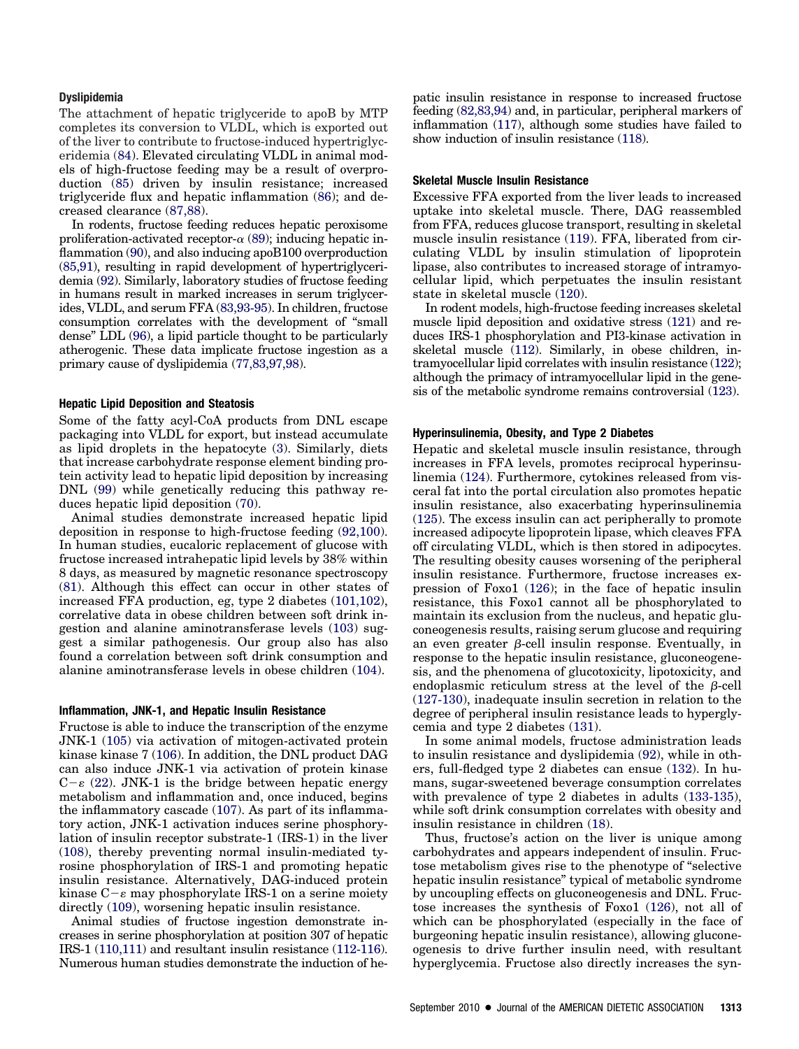#### **Dyslipidemia**

The attachment of hepatic triglyceride to apoB by MTP completes its conversion to VLDL, which is exported out of the liver to contribute to fructose-induced hypertriglyceridemia (84). Elevated circulating VLDL in animal models of high-fructose feeding may be a result of overproduction (85) driven by insulin resistance; increased triglyceride flux and hepatic inflammation (86); and decreased clearance (87,88).

In rodents, fructose feeding reduces hepatic peroxisome proliferation-activated receptor- $\alpha$  (89); inducing hepatic inflammation (90), and also inducing apoB100 overproduction (85,91), resulting in rapid development of hypertriglyceridemia (92). Similarly, laboratory studies of fructose feeding in humans result in marked increases in serum triglycerides, VLDL, and serum FFA (83,93-95). In children, fructose consumption correlates with the development of "small dense" LDL (96), a lipid particle thought to be particularly atherogenic. These data implicate fructose ingestion as a primary cause of dyslipidemia (77,83,97,98).

#### **Hepatic Lipid Deposition and Steatosis**

Some of the fatty acyl-CoA products from DNL escape packaging into VLDL for export, but instead accumulate as lipid droplets in the hepatocyte (3). Similarly, diets that increase carbohydrate response element binding protein activity lead to hepatic lipid deposition by increasing DNL (99) while genetically reducing this pathway reduces hepatic lipid deposition (70).

Animal studies demonstrate increased hepatic lipid deposition in response to high-fructose feeding (92,100). In human studies, eucaloric replacement of glucose with fructose increased intrahepatic lipid levels by 38% within 8 days, as measured by magnetic resonance spectroscopy (81). Although this effect can occur in other states of increased FFA production, eg, type 2 diabetes (101,102), correlative data in obese children between soft drink ingestion and alanine aminotransferase levels (103) suggest a similar pathogenesis. Our group also has also found a correlation between soft drink consumption and alanine aminotransferase levels in obese children (104).

## **Inflammation, JNK-1, and Hepatic Insulin Resistance**

Fructose is able to induce the transcription of the enzyme JNK-1 (105) via activation of mitogen-activated protein kinase kinase 7 (106). In addition, the DNL product DAG can also induce JNK-1 via activation of protein kinase  $C-\varepsilon$  (22). JNK-1 is the bridge between hepatic energy metabolism and inflammation and, once induced, begins the inflammatory cascade (107). As part of its inflammatory action, JNK-1 activation induces serine phosphorylation of insulin receptor substrate-1 (IRS-1) in the liver (108), thereby preventing normal insulin-mediated tyrosine phosphorylation of IRS-1 and promoting hepatic insulin resistance. Alternatively, DAG-induced protein kinase C– $\varepsilon$  may phosphorylate IRS-1 on a serine moiety directly (109), worsening hepatic insulin resistance.

Animal studies of fructose ingestion demonstrate increases in serine phosphorylation at position 307 of hepatic IRS-1 (110,111) and resultant insulin resistance (112-116). Numerous human studies demonstrate the induction of hepatic insulin resistance in response to increased fructose feeding (82,83,94) and, in particular, peripheral markers of inflammation (117), although some studies have failed to show induction of insulin resistance (118).

#### **Skeletal Muscle Insulin Resistance**

Excessive FFA exported from the liver leads to increased uptake into skeletal muscle. There, DAG reassembled from FFA, reduces glucose transport, resulting in skeletal muscle insulin resistance (119). FFA, liberated from circulating VLDL by insulin stimulation of lipoprotein lipase, also contributes to increased storage of intramyocellular lipid, which perpetuates the insulin resistant state in skeletal muscle (120).

In rodent models, high-fructose feeding increases skeletal muscle lipid deposition and oxidative stress (121) and reduces IRS-1 phosphorylation and PI3-kinase activation in skeletal muscle (112). Similarly, in obese children, intramyocellular lipid correlates with insulin resistance (122); although the primacy of intramyocellular lipid in the genesis of the metabolic syndrome remains controversial (123).

#### **Hyperinsulinemia, Obesity, and Type 2 Diabetes**

Hepatic and skeletal muscle insulin resistance, through increases in FFA levels, promotes reciprocal hyperinsulinemia (124). Furthermore, cytokines released from visceral fat into the portal circulation also promotes hepatic insulin resistance, also exacerbating hyperinsulinemia (125). The excess insulin can act peripherally to promote increased adipocyte lipoprotein lipase, which cleaves FFA off circulating VLDL, which is then stored in adipocytes. The resulting obesity causes worsening of the peripheral insulin resistance. Furthermore, fructose increases expression of Foxo1 (126); in the face of hepatic insulin resistance, this Foxo1 cannot all be phosphorylated to maintain its exclusion from the nucleus, and hepatic gluconeogenesis results, raising serum glucose and requiring an even greater  $\beta$ -cell insulin response. Eventually, in response to the hepatic insulin resistance, gluconeogenesis, and the phenomena of glucotoxicity, lipotoxicity, and endoplasmic reticulum stress at the level of the  $\beta$ -cell (127-130), inadequate insulin secretion in relation to the degree of peripheral insulin resistance leads to hyperglycemia and type 2 diabetes (131).

In some animal models, fructose administration leads to insulin resistance and dyslipidemia (92), while in others, full-fledged type 2 diabetes can ensue (132). In humans, sugar-sweetened beverage consumption correlates with prevalence of type 2 diabetes in adults (133-135), while soft drink consumption correlates with obesity and insulin resistance in children (18).

Thus, fructose's action on the liver is unique among carbohydrates and appears independent of insulin. Fructose metabolism gives rise to the phenotype of "selective hepatic insulin resistance" typical of metabolic syndrome by uncoupling effects on gluconeogenesis and DNL. Fructose increases the synthesis of Foxo1 (126), not all of which can be phosphorylated (especially in the face of burgeoning hepatic insulin resistance), allowing gluconeogenesis to drive further insulin need, with resultant hyperglycemia. Fructose also directly increases the syn-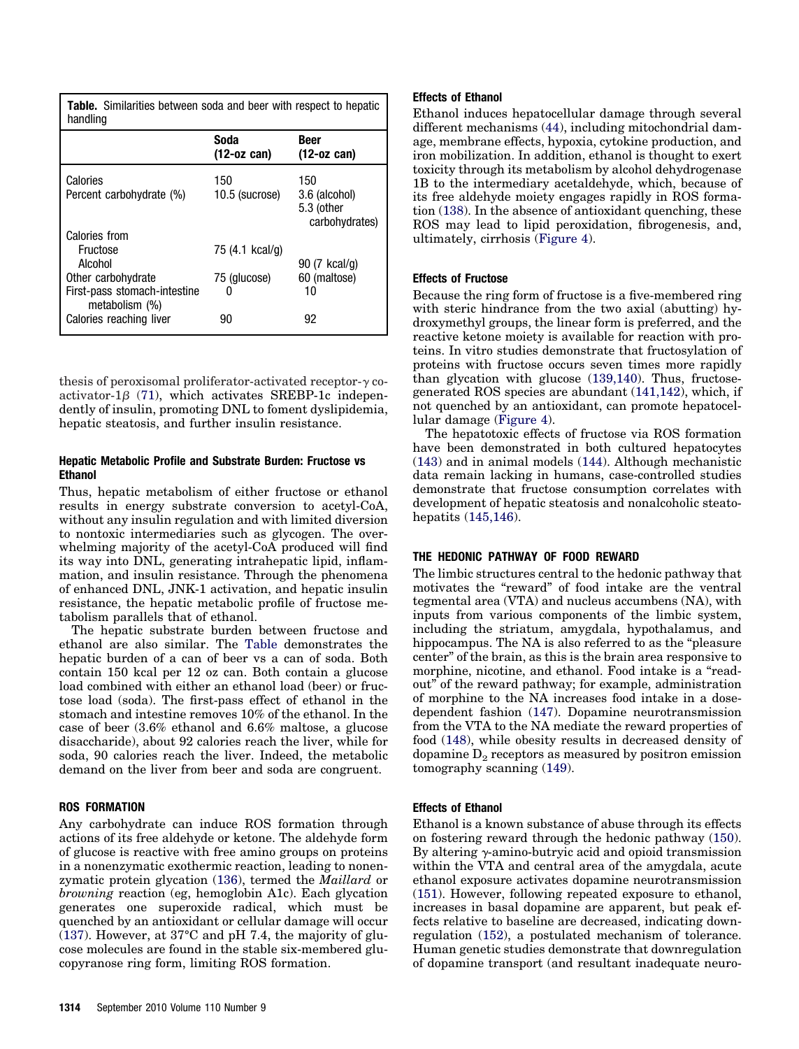**Table.** Similarities between soda and beer with respect to hepatic handling

|                                                | Soda<br>$(12$ -oz can) | <b>Beer</b><br>$(12$ -oz can)                        |
|------------------------------------------------|------------------------|------------------------------------------------------|
| Calories<br>Percent carbohydrate (%)           | 150<br>10.5 (sucrose)  | 150<br>3.6 (alcohol)<br>5.3 (other<br>carbohydrates) |
| <b>Calories from</b>                           |                        |                                                      |
| Fructose                                       | 75 (4.1 kcal/g)        |                                                      |
| Alcohol                                        |                        | 90 (7 kcal/g)                                        |
| Other carbohydrate                             | 75 (glucose)           | 60 (maltose)                                         |
| First-pass stomach-intestine<br>metabolism (%) |                        | 10                                                   |
| Calories reaching liver                        | 90                     | 92                                                   |

thesis of peroxisomal proliferator-activated receptor- $\gamma$  coactivator-1 $\beta$  (71), which activates SREBP-1c independently of insulin, promoting DNL to foment dyslipidemia, hepatic steatosis, and further insulin resistance.

#### **Hepatic Metabolic Profile and Substrate Burden: Fructose vs Ethanol**

Thus, hepatic metabolism of either fructose or ethanol results in energy substrate conversion to acetyl-CoA, without any insulin regulation and with limited diversion to nontoxic intermediaries such as glycogen. The overwhelming majority of the acetyl-CoA produced will find its way into DNL, generating intrahepatic lipid, inflammation, and insulin resistance. Through the phenomena of enhanced DNL, JNK-1 activation, and hepatic insulin resistance, the hepatic metabolic profile of fructose metabolism parallels that of ethanol.

The hepatic substrate burden between fructose and ethanol are also similar. The Table demonstrates the hepatic burden of a can of beer vs a can of soda. Both contain 150 kcal per 12 oz can. Both contain a glucose load combined with either an ethanol load (beer) or fructose load (soda). The first-pass effect of ethanol in the stomach and intestine removes 10% of the ethanol. In the case of beer (3.6% ethanol and 6.6% maltose, a glucose disaccharide), about 92 calories reach the liver, while for soda, 90 calories reach the liver. Indeed, the metabolic demand on the liver from beer and soda are congruent.

# **ROS FORMATION**

Any carbohydrate can induce ROS formation through actions of its free aldehyde or ketone. The aldehyde form of glucose is reactive with free amino groups on proteins in a nonenzymatic exothermic reaction, leading to nonenzymatic protein glycation (136), termed the *Maillard* or *browning* reaction (eg, hemoglobin A1c). Each glycation generates one superoxide radical, which must be quenched by an antioxidant or cellular damage will occur (137). However, at  $37^{\circ}$ C and pH 7.4, the majority of glucose molecules are found in the stable six-membered glucopyranose ring form, limiting ROS formation.

# **Effects of Ethanol**

Ethanol induces hepatocellular damage through several different mechanisms (44), including mitochondrial damage, membrane effects, hypoxia, cytokine production, and iron mobilization. In addition, ethanol is thought to exert toxicity through its metabolism by alcohol dehydrogenase 1B to the intermediary acetaldehyde, which, because of its free aldehyde moiety engages rapidly in ROS formation (138). In the absence of antioxidant quenching, these ROS may lead to lipid peroxidation, fibrogenesis, and, ultimately, cirrhosis (Figure 4).

# **Effects of Fructose**

Because the ring form of fructose is a five-membered ring with steric hindrance from the two axial (abutting) hydroxymethyl groups, the linear form is preferred, and the reactive ketone moiety is available for reaction with proteins. In vitro studies demonstrate that fructosylation of proteins with fructose occurs seven times more rapidly than glycation with glucose (139,140). Thus, fructosegenerated ROS species are abundant (141,142), which, if not quenched by an antioxidant, can promote hepatocellular damage (Figure 4).

The hepatotoxic effects of fructose via ROS formation have been demonstrated in both cultured hepatocytes (143) and in animal models (144). Although mechanistic data remain lacking in humans, case-controlled studies demonstrate that fructose consumption correlates with development of hepatic steatosis and nonalcoholic steatohepatits (145,146).

# **THE HEDONIC PATHWAY OF FOOD REWARD**

The limbic structures central to the hedonic pathway that motivates the "reward" of food intake are the ventral tegmental area (VTA) and nucleus accumbens (NA), with inputs from various components of the limbic system, including the striatum, amygdala, hypothalamus, and hippocampus. The NA is also referred to as the "pleasure center" of the brain, as this is the brain area responsive to morphine, nicotine, and ethanol. Food intake is a "readout" of the reward pathway; for example, administration of morphine to the NA increases food intake in a dosedependent fashion (147). Dopamine neurotransmission from the VTA to the NA mediate the reward properties of food (148), while obesity results in decreased density of dopamine  $D<sub>2</sub>$  receptors as measured by positron emission tomography scanning (149).

#### **Effects of Ethanol**

Ethanol is a known substance of abuse through its effects on fostering reward through the hedonic pathway (150). By altering  $\gamma$ -amino-butryic acid and opioid transmission within the VTA and central area of the amygdala, acute ethanol exposure activates dopamine neurotransmission (151). However, following repeated exposure to ethanol, increases in basal dopamine are apparent, but peak effects relative to baseline are decreased, indicating downregulation (152), a postulated mechanism of tolerance. Human genetic studies demonstrate that downregulation of dopamine transport (and resultant inadequate neuro-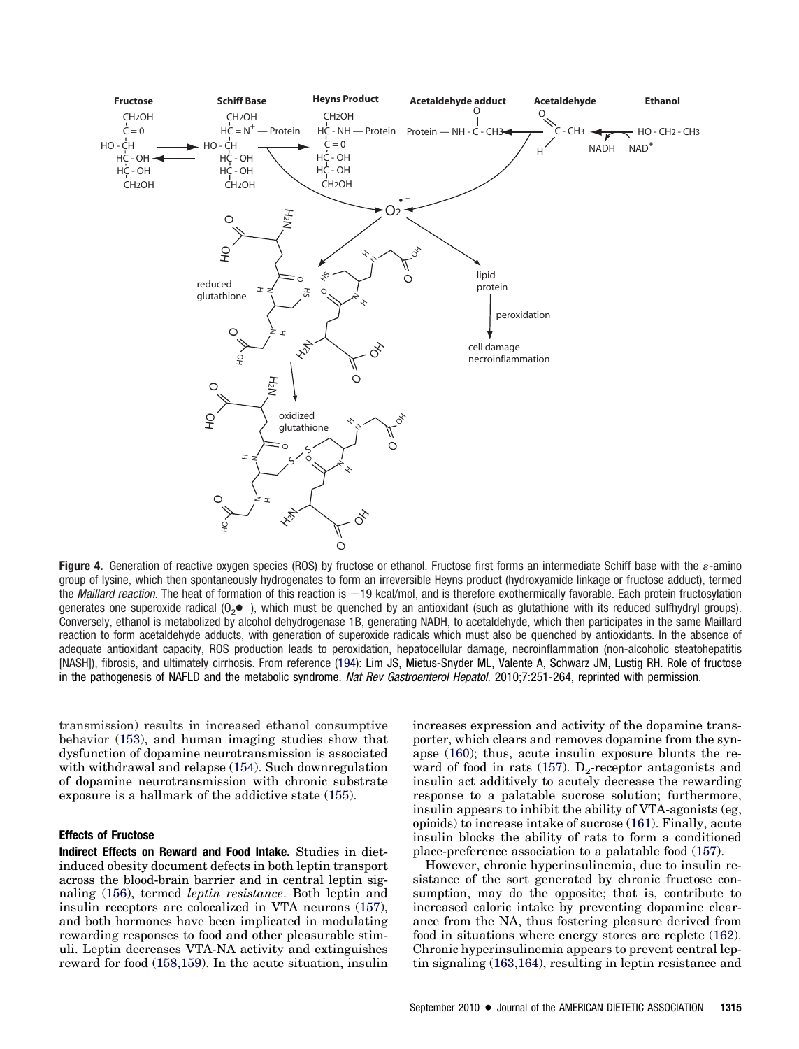

**Figure 4.** Generation of reactive oxygen species (ROS) by fructose or ethanol. Fructose first forms an intermediate Schiff base with the  $\varepsilon$ -amino group of lysine, which then spontaneously hydrogenates to form an irreversible Heyns product (hydroxyamide linkage or fructose adduct), termed the Maillard reaction. The heat of formation of this reaction is -19 kcal/mol, and is therefore exothermically favorable. Each protein fructosylation generates one superoxide radical (O<sub>2</sub> $\bullet^-$ ), which must be quenched by an antioxidant (such as glutathione with its reduced sulfhydryl groups). Conversely, ethanol is metabolized by alcohol dehydrogenase 1B, generating NADH, to acetaldehyde, which then participates in the same Maillard reaction to form acetaldehyde adducts, with generation of superoxide radicals which must also be quenched by antioxidants. In the absence of adequate antioxidant capacity, ROS production leads to peroxidation, hepatocellular damage, necroinflammation (non-alcoholic steatohepatitis [NASH]), fibrosis, and ultimately cirrhosis. From reference (194): Lim JS, Mietus-Snyder ML, Valente A, Schwarz JM, Lustig RH. Role of fructose in the pathogenesis of NAFLD and the metabolic syndrome. *Nat Rev Gastroenterol Hepatol.* 2010;7:251-264, reprinted with permission.

transmission) results in increased ethanol consumptive behavior (153), and human imaging studies show that dysfunction of dopamine neurotransmission is associated with withdrawal and relapse (154). Such downregulation of dopamine neurotransmission with chronic substrate exposure is a hallmark of the addictive state (155).

#### **Effects of Fructose**

**Indirect Effects on Reward and Food Intake.** Studies in dietinduced obesity document defects in both leptin transport across the blood-brain barrier and in central leptin signaling (156), termed *leptin resistance*. Both leptin and insulin receptors are colocalized in VTA neurons (157), and both hormones have been implicated in modulating rewarding responses to food and other pleasurable stimuli. Leptin decreases VTA-NA activity and extinguishes reward for food (158,159). In the acute situation, insulin increases expression and activity of the dopamine transporter, which clears and removes dopamine from the synapse (160); thus, acute insulin exposure blunts the reward of food in rats (157).  $D_2$ -receptor antagonists and insulin act additively to acutely decrease the rewarding response to a palatable sucrose solution; furthermore, insulin appears to inhibit the ability of VTA-agonists (eg, opioids) to increase intake of sucrose (161). Finally, acute insulin blocks the ability of rats to form a conditioned place-preference association to a palatable food (157).

However, chronic hyperinsulinemia, due to insulin resistance of the sort generated by chronic fructose consumption, may do the opposite; that is, contribute to increased caloric intake by preventing dopamine clearance from the NA, thus fostering pleasure derived from food in situations where energy stores are replete (162). Chronic hyperinsulinemia appears to prevent central leptin signaling (163,164), resulting in leptin resistance and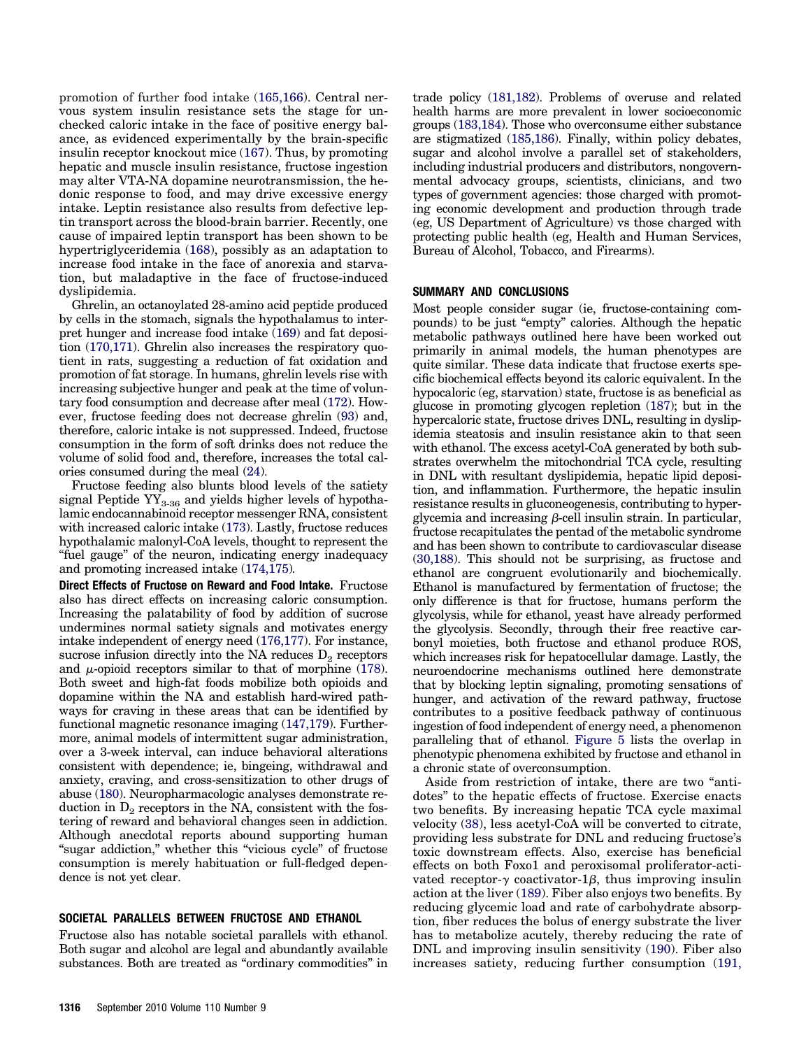promotion of further food intake (165,166). Central nervous system insulin resistance sets the stage for unchecked caloric intake in the face of positive energy balance, as evidenced experimentally by the brain-specific insulin receptor knockout mice (167). Thus, by promoting hepatic and muscle insulin resistance, fructose ingestion may alter VTA-NA dopamine neurotransmission, the hedonic response to food, and may drive excessive energy intake. Leptin resistance also results from defective leptin transport across the blood-brain barrier. Recently, one cause of impaired leptin transport has been shown to be hypertriglyceridemia (168), possibly as an adaptation to increase food intake in the face of anorexia and starvation, but maladaptive in the face of fructose-induced dyslipidemia.

Ghrelin, an octanoylated 28-amino acid peptide produced by cells in the stomach, signals the hypothalamus to interpret hunger and increase food intake (169) and fat deposition (170,171). Ghrelin also increases the respiratory quotient in rats, suggesting a reduction of fat oxidation and promotion of fat storage. In humans, ghrelin levels rise with increasing subjective hunger and peak at the time of voluntary food consumption and decrease after meal (172). However, fructose feeding does not decrease ghrelin (93) and, therefore, caloric intake is not suppressed. Indeed, fructose consumption in the form of soft drinks does not reduce the volume of solid food and, therefore, increases the total calories consumed during the meal (24).

Fructose feeding also blunts blood levels of the satiety signal Peptide  $YY_{3-36}$  and yields higher levels of hypothalamic endocannabinoid receptor messenger RNA, consistent with increased caloric intake (173). Lastly, fructose reduces hypothalamic malonyl-CoA levels, thought to represent the "fuel gauge" of the neuron, indicating energy inadequacy and promoting increased intake (174,175)*.*

**Direct Effects of Fructose on Reward and Food Intake.** Fructose also has direct effects on increasing caloric consumption. Increasing the palatability of food by addition of sucrose undermines normal satiety signals and motivates energy intake independent of energy need (176,177). For instance, sucrose infusion directly into the NA reduces  $D_2$  receptors and  $\mu$ -opioid receptors similar to that of morphine (178). Both sweet and high-fat foods mobilize both opioids and dopamine within the NA and establish hard-wired pathways for craving in these areas that can be identified by functional magnetic resonance imaging (147,179). Furthermore, animal models of intermittent sugar administration, over a 3-week interval, can induce behavioral alterations consistent with dependence; ie, bingeing, withdrawal and anxiety, craving, and cross-sensitization to other drugs of abuse (180). Neuropharmacologic analyses demonstrate reduction in  $D_2$  receptors in the NA, consistent with the fostering of reward and behavioral changes seen in addiction. Although anecdotal reports abound supporting human "sugar addiction," whether this "vicious cycle" of fructose consumption is merely habituation or full-fledged dependence is not yet clear.

# **SOCIETAL PARALLELS BETWEEN FRUCTOSE AND ETHANOL**

Fructose also has notable societal parallels with ethanol. Both sugar and alcohol are legal and abundantly available substances. Both are treated as "ordinary commodities" in trade policy (181,182). Problems of overuse and related health harms are more prevalent in lower socioeconomic groups (183,184). Those who overconsume either substance are stigmatized (185,186). Finally, within policy debates, sugar and alcohol involve a parallel set of stakeholders, including industrial producers and distributors, nongovernmental advocacy groups, scientists, clinicians, and two types of government agencies: those charged with promoting economic development and production through trade (eg, US Department of Agriculture) vs those charged with protecting public health (eg, Health and Human Services, Bureau of Alcohol, Tobacco, and Firearms).

#### **SUMMARY AND CONCLUSIONS**

Most people consider sugar (ie, fructose-containing compounds) to be just "empty" calories. Although the hepatic metabolic pathways outlined here have been worked out primarily in animal models, the human phenotypes are quite similar. These data indicate that fructose exerts specific biochemical effects beyond its caloric equivalent. In the hypocaloric (eg, starvation) state, fructose is as beneficial as glucose in promoting glycogen repletion (187); but in the hypercaloric state, fructose drives DNL, resulting in dyslipidemia steatosis and insulin resistance akin to that seen with ethanol. The excess acetyl-CoA generated by both substrates overwhelm the mitochondrial TCA cycle, resulting in DNL with resultant dyslipidemia, hepatic lipid deposition, and inflammation. Furthermore, the hepatic insulin resistance results in gluconeogenesis, contributing to hyperglycemia and increasing  $\beta$ -cell insulin strain. In particular, fructose recapitulates the pentad of the metabolic syndrome and has been shown to contribute to cardiovascular disease (30,188). This should not be surprising, as fructose and ethanol are congruent evolutionarily and biochemically. Ethanol is manufactured by fermentation of fructose; the only difference is that for fructose, humans perform the glycolysis, while for ethanol, yeast have already performed the glycolysis. Secondly, through their free reactive carbonyl moieties, both fructose and ethanol produce ROS, which increases risk for hepatocellular damage. Lastly, the neuroendocrine mechanisms outlined here demonstrate that by blocking leptin signaling, promoting sensations of hunger, and activation of the reward pathway, fructose contributes to a positive feedback pathway of continuous ingestion of food independent of energy need, a phenomenon paralleling that of ethanol. Figure 5 lists the overlap in phenotypic phenomena exhibited by fructose and ethanol in a chronic state of overconsumption.

Aside from restriction of intake, there are two "antidotes" to the hepatic effects of fructose. Exercise enacts two benefits. By increasing hepatic TCA cycle maximal velocity (38), less acetyl-CoA will be converted to citrate, providing less substrate for DNL and reducing fructose's toxic downstream effects. Also, exercise has beneficial effects on both Foxo1 and peroxisomal proliferator-activated receptor- $\gamma$  coactivator-1 $\beta$ , thus improving insulin action at the liver (189). Fiber also enjoys two benefits. By reducing glycemic load and rate of carbohydrate absorption, fiber reduces the bolus of energy substrate the liver has to metabolize acutely, thereby reducing the rate of DNL and improving insulin sensitivity (190). Fiber also increases satiety, reducing further consumption (191,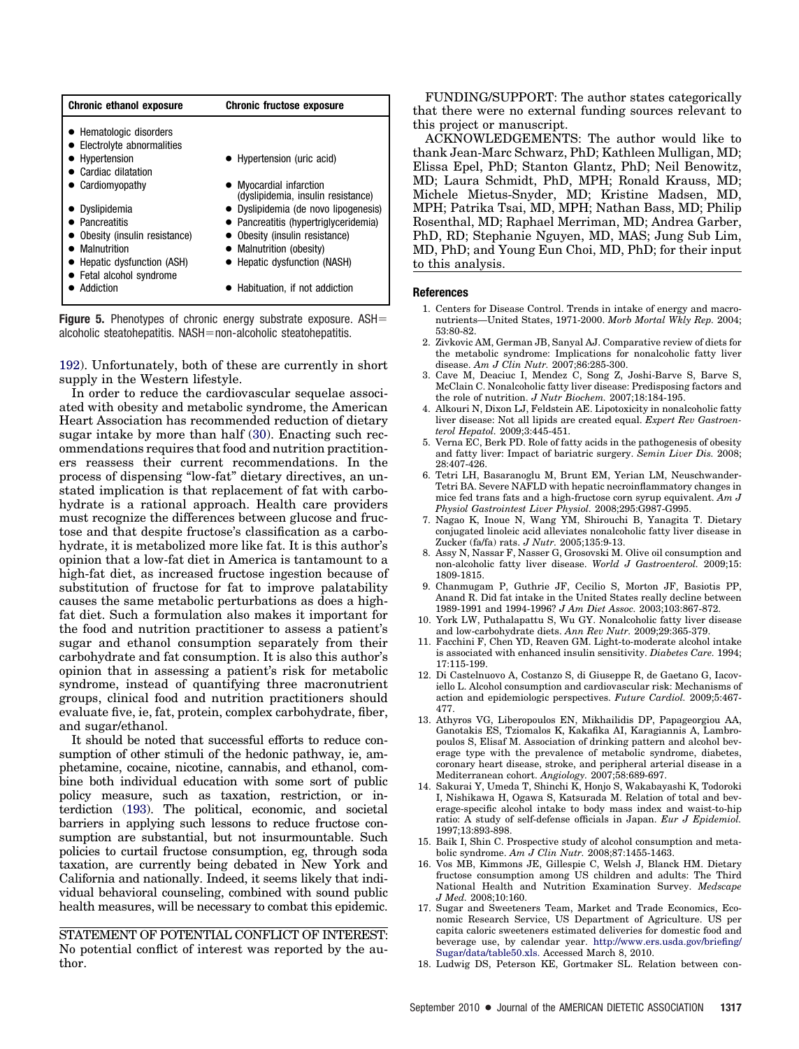| <b>Chronic ethanol exposure</b> | <b>Chronic fructose exposure</b>      |  |
|---------------------------------|---------------------------------------|--|
| • Hematologic disorders         |                                       |  |
| • Electrolyte abnormalities     |                                       |  |
| • Hypertension                  | • Hypertension (uric acid)            |  |
| Cardiac dilatation              |                                       |  |
| $\bullet$ Cardiomyopathy        | • Myocardial infarction               |  |
|                                 | (dyslipidemia, insulin resistance)    |  |
| $\bullet$ Dyslipidemia          | • Dyslipidemia (de novo lipogenesis)  |  |
| • Pancreatitis                  | • Pancreatitis (hypertriglyceridemia) |  |
| Obesity (insulin resistance)    | • Obesity (insulin resistance)        |  |
| • Malnutrition                  | • Malnutrition (obesity)              |  |
| • Hepatic dysfunction (ASH)     | • Hepatic dysfunction (NASH)          |  |
| • Fetal alcohol syndrome        |                                       |  |
| ● Addiction                     | • Habituation, if not addiction       |  |
|                                 |                                       |  |

**Figure 5.** Phenotypes of chronic energy substrate exposure. ASH  $alcoholic$  steatohepatitis. NASH=non-alcoholic steatohepatitis.

192). Unfortunately, both of these are currently in short supply in the Western lifestyle.

In order to reduce the cardiovascular sequelae associated with obesity and metabolic syndrome, the American Heart Association has recommended reduction of dietary sugar intake by more than half (30). Enacting such recommendations requires that food and nutrition practitioners reassess their current recommendations. In the process of dispensing "low-fat" dietary directives, an unstated implication is that replacement of fat with carbohydrate is a rational approach. Health care providers must recognize the differences between glucose and fructose and that despite fructose's classification as a carbohydrate, it is metabolized more like fat. It is this author's opinion that a low-fat diet in America is tantamount to a high-fat diet, as increased fructose ingestion because of substitution of fructose for fat to improve palatability causes the same metabolic perturbations as does a highfat diet. Such a formulation also makes it important for the food and nutrition practitioner to assess a patient's sugar and ethanol consumption separately from their carbohydrate and fat consumption. It is also this author's opinion that in assessing a patient's risk for metabolic syndrome, instead of quantifying three macronutrient groups, clinical food and nutrition practitioners should evaluate five, ie, fat, protein, complex carbohydrate, fiber, and sugar/ethanol.

It should be noted that successful efforts to reduce consumption of other stimuli of the hedonic pathway, ie, amphetamine, cocaine, nicotine, cannabis, and ethanol, combine both individual education with some sort of public policy measure, such as taxation, restriction, or interdiction (193). The political, economic, and societal barriers in applying such lessons to reduce fructose consumption are substantial, but not insurmountable. Such policies to curtail fructose consumption, eg, through soda taxation, are currently being debated in New York and California and nationally. Indeed, it seems likely that individual behavioral counseling, combined with sound public health measures, will be necessary to combat this epidemic.

STATEMENT OF POTENTIAL CONFLICT OF INTEREST: No potential conflict of interest was reported by the author.

FUNDING/SUPPORT: The author states categorically that there were no external funding sources relevant to this project or manuscript.

ACKNOWLEDGEMENTS: The author would like to thank Jean-Marc Schwarz, PhD; Kathleen Mulligan, MD; Elissa Epel, PhD; Stanton Glantz, PhD; Neil Benowitz, MD; Laura Schmidt, PhD, MPH; Ronald Krauss, MD; Michele Mietus-Snyder, MD; Kristine Madsen, MD, MPH; Patrika Tsai, MD, MPH; Nathan Bass, MD; Philip Rosenthal, MD; Raphael Merriman, MD; Andrea Garber, PhD, RD; Stephanie Nguyen, MD, MAS; Jung Sub Lim, MD, PhD; and Young Eun Choi, MD, PhD; for their input to this analysis.

#### **References**

- 1. Centers for Disease Control. Trends in intake of energy and macronutrients—United States, 1971-2000. *Morb Mortal Wkly Rep.* 2004; 53:80-82.
- 2. Zivkovic AM, German JB, Sanyal AJ. Comparative review of diets for the metabolic syndrome: Implications for nonalcoholic fatty liver disease. *Am J Clin Nutr.* 2007;86:285-300.
- 3. Cave M, Deaciuc I, Mendez C, Song Z, Joshi-Barve S, Barve S, McClain C. Nonalcoholic fatty liver disease: Predisposing factors and the role of nutrition. *J Nutr Biochem.* 2007;18:184-195.
- 4. Alkouri N, Dixon LJ, Feldstein AE. Lipotoxicity in nonalcoholic fatty liver disease: Not all lipids are created equal. *Expert Rev Gastroenterol Hepatol.* 2009;3:445-451.
- 5. Verna EC, Berk PD. Role of fatty acids in the pathogenesis of obesity and fatty liver: Impact of bariatric surgery. *Semin Liver Dis.* 2008; 28:407-426.
- 6. Tetri LH, Basaranoglu M, Brunt EM, Yerian LM, Neuschwander-Tetri BA. Severe NAFLD with hepatic necroinflammatory changes in mice fed trans fats and a high-fructose corn syrup equivalent. *Am J Physiol Gastrointest Liver Physiol.* 2008;295:G987-G995.
- 7. Nagao K, Inoue N, Wang YM, Shirouchi B, Yanagita T. Dietary conjugated linoleic acid alleviates nonalcoholic fatty liver disease in Zucker (fa/fa) rats. *J Nutr.* 2005;135:9-13.
- 8. Assy N, Nassar F, Nasser G, Grosovski M. Olive oil consumption and non-alcoholic fatty liver disease. *World J Gastroenterol.* 2009;15: 1809-1815.
- 9. Chanmugam P, Guthrie JF, Cecilio S, Morton JF, Basiotis PP, Anand R. Did fat intake in the United States really decline between 1989-1991 and 1994-1996? *J Am Diet Assoc.* 2003;103:867-872.
- 10. York LW, Puthalapattu S, Wu GY. Nonalcoholic fatty liver disease and low-carbohydrate diets. *Ann Rev Nutr.* 2009;29:365-379.
- 11. Facchini F, Chen YD, Reaven GM. Light-to-moderate alcohol intake is associated with enhanced insulin sensitivity. *Diabetes Care.* 1994; 17:115-199.
- 12. Di Castelnuovo A, Costanzo S, di Giuseppe R, de Gaetano G, Iacoviello L. Alcohol consumption and cardiovascular risk: Mechanisms of action and epidemiologic perspectives. *Future Cardiol.* 2009;5:467- 477.
- 13. Athyros VG, Liberopoulos EN, Mikhailidis DP, Papageorgiou AA, Ganotakis ES, Tziomalos K, Kakafika AI, Karagiannis A, Lambropoulos S, Elisaf M. Association of drinking pattern and alcohol beverage type with the prevalence of metabolic syndrome, diabetes, coronary heart disease, stroke, and peripheral arterial disease in a Mediterranean cohort. *Angiology.* 2007;58:689-697.
- 14. Sakurai Y, Umeda T, Shinchi K, Honjo S, Wakabayashi K, Todoroki I, Nishikawa H, Ogawa S, Katsurada M. Relation of total and beverage-specific alcohol intake to body mass index and waist-to-hip ratio: A study of self-defense officials in Japan. *Eur J Epidemiol.* 1997;13:893-898.
- 15. Baik I, Shin C. Prospective study of alcohol consumption and metabolic syndrome. *Am J Clin Nutr.* 2008;87:1455-1463.
- 16. Vos MB, Kimmons JE, Gillespie C, Welsh J, Blanck HM. Dietary fructose consumption among US children and adults: The Third National Health and Nutrition Examination Survey. *Medscape J Med.* 2008;10:160.
- 17. Sugar and Sweeteners Team, Market and Trade Economics, Economic Research Service, US Department of Agriculture. US per capita caloric sweeteners estimated deliveries for domestic food and beverage use, by calendar year. [http://www.ers.usda.gov/briefing/](http://www.ers.usda.gov/briefing/Sugar/data/table50.xls) [Sugar/data/table50.xls.](http://www.ers.usda.gov/briefing/Sugar/data/table50.xls) Accessed March 8, 2010.
- 18. Ludwig DS, Peterson KE, Gortmaker SL. Relation between con-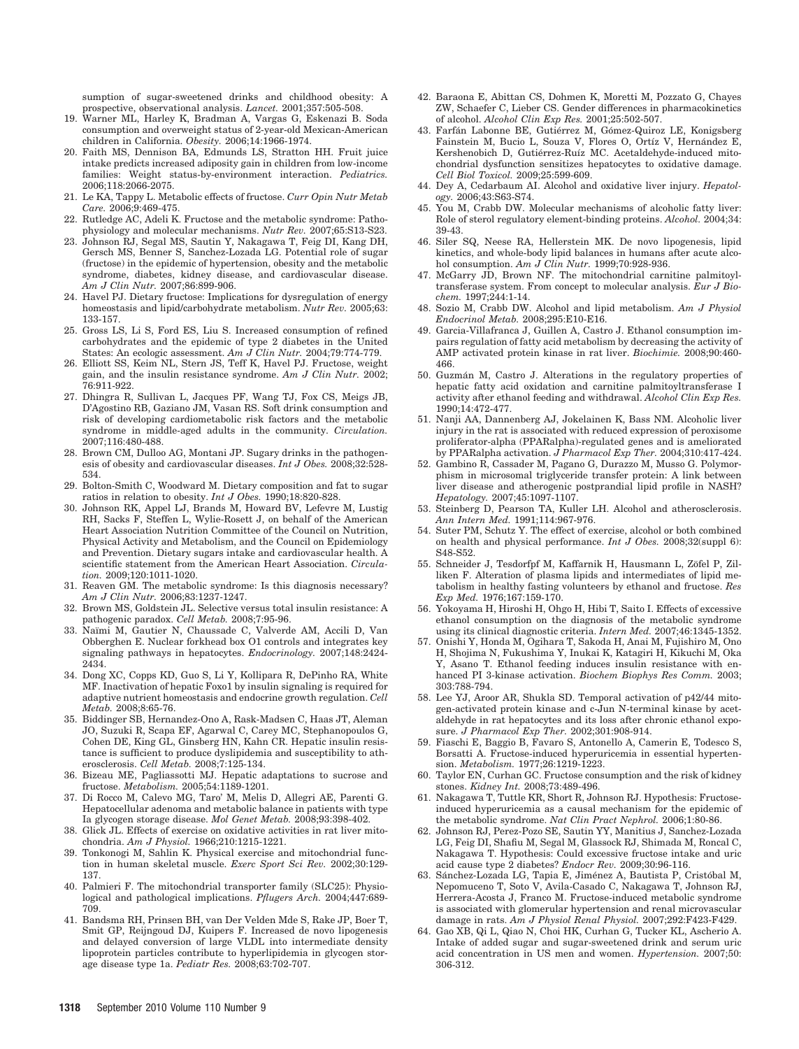sumption of sugar-sweetened drinks and childhood obesity: A prospective, observational analysis. *Lancet.* 2001;357:505-508.

- 19. Warner ML, Harley K, Bradman A, Vargas G, Eskenazi B. Soda consumption and overweight status of 2-year-old Mexican-American children in California. *Obesity.* 2006;14:1966-1974.
- 20. Faith MS, Dennison BA, Edmunds LS, Stratton HH. Fruit juice intake predicts increased adiposity gain in children from low-income families: Weight status-by-environment interaction. *Pediatrics.* 2006;118:2066-2075.
- 21. Le KA, Tappy L. Metabolic effects of fructose. *Curr Opin Nutr Metab Care.* 2006;9:469-475.
- 22. Rutledge AC, Adeli K. Fructose and the metabolic syndrome: Pathophysiology and molecular mechanisms. *Nutr Rev.* 2007;65:S13-S23.
- 23. Johnson RJ, Segal MS, Sautin Y, Nakagawa T, Feig DI, Kang DH, Gersch MS, Benner S, Sanchez-Lozada LG. Potential role of sugar (fructose) in the epidemic of hypertension, obesity and the metabolic syndrome, diabetes, kidney disease, and cardiovascular disease. *Am J Clin Nutr.* 2007;86:899-906.
- 24. Havel PJ. Dietary fructose: Implications for dysregulation of energy homeostasis and lipid/carbohydrate metabolism. *Nutr Rev.* 2005;63: 133-157.
- 25. Gross LS, Li S, Ford ES, Liu S. Increased consumption of refined carbohydrates and the epidemic of type 2 diabetes in the United States: An ecologic assessment. *Am J Clin Nutr.* 2004;79:774-779.
- 26. Elliott SS, Keim NL, Stern JS, Teff K, Havel PJ. Fructose, weight gain, and the insulin resistance syndrome. *Am J Clin Nutr.* 2002; 76:911-922.
- 27. Dhingra R, Sullivan L, Jacques PF, Wang TJ, Fox CS, Meigs JB, D'Agostino RB, Gaziano JM, Vasan RS. Soft drink consumption and risk of developing cardiometabolic risk factors and the metabolic syndrome in middle-aged adults in the community. *Circulation.* 2007;116:480-488.
- 28. Brown CM, Dulloo AG, Montani JP. Sugary drinks in the pathogenesis of obesity and cardiovascular diseases. *Int J Obes.* 2008;32:528- 534.
- 29. Bolton-Smith C, Woodward M. Dietary composition and fat to sugar ratios in relation to obesity. *Int J Obes.* 1990;18:820-828.
- 30. Johnson RK, Appel LJ, Brands M, Howard BV, Lefevre M, Lustig RH, Sacks F, Steffen L, Wylie-Rosett J, on behalf of the American Heart Association Nutrition Committee of the Council on Nutrition, Physical Activity and Metabolism, and the Council on Epidemiology and Prevention. Dietary sugars intake and cardiovascular health. A scientific statement from the American Heart Association. *Circulation.* 2009;120:1011-1020.
- 31. Reaven GM. The metabolic syndrome: Is this diagnosis necessary? *Am J Clin Nutr.* 2006;83:1237-1247.
- 32. Brown MS, Goldstein JL. Selective versus total insulin resistance: A pathogenic paradox. *Cell Metab.* 2008;7:95-96.
- 33. Naïmi M, Gautier N, Chaussade C, Valverde AM, Accili D, Van Obberghen E. Nuclear forkhead box O1 controls and integrates key signaling pathways in hepatocytes. *Endocrinology.* 2007;148:2424- 2434.
- 34. Dong XC, Copps KD, Guo S, Li Y, Kollipara R, DePinho RA, White MF. Inactivation of hepatic Foxo1 by insulin signaling is required for adaptive nutrient homeostasis and endocrine growth regulation. *Cell Metab.* 2008;8:65-76.
- 35. Biddinger SB, Hernandez-Ono A, Rask-Madsen C, Haas JT, Aleman JO, Suzuki R, Scapa EF, Agarwal C, Carey MC, Stephanopoulos G, Cohen DE, King GL, Ginsberg HN, Kahn CR. Hepatic insulin resistance is sufficient to produce dyslipidemia and susceptibility to atherosclerosis. *Cell Metab.* 2008;7:125-134.
- 36. Bizeau ME, Pagliassotti MJ. Hepatic adaptations to sucrose and fructose. *Metabolism.* 2005;54:1189-1201.
- 37. Di Rocco M, Calevo MG, Taro' M, Melis D, Allegri AE, Parenti G. Hepatocellular adenoma and metabolic balance in patients with type Ia glycogen storage disease. *Mol Genet Metab.* 2008;93:398-402.
- Glick JL. Effects of exercise on oxidative activities in rat liver mitochondria. *Am J Physiol.* 1966;210:1215-1221.
- 39. Tonkonogi M, Sahlin K. Physical exercise and mitochondrial function in human skeletal muscle. *Exerc Sport Sci Rev.* 2002;30:129- 137.
- 40. Palmieri F. The mitochondrial transporter family (SLC25): Physiological and pathological implications. *Pflugers Arch.* 2004;447:689- 709.
- 41. Bandsma RH, Prinsen BH, van Der Velden Mde S, Rake JP, Boer T, Smit GP, Reijngoud DJ, Kuipers F. Increased de novo lipogenesis and delayed conversion of large VLDL into intermediate density lipoprotein particles contribute to hyperlipidemia in glycogen storage disease type 1a. *Pediatr Res.* 2008;63:702-707.
- 42. Baraona E, Abittan CS, Dohmen K, Moretti M, Pozzato G, Chayes ZW, Schaefer C, Lieber CS. Gender differences in pharmacokinetics of alcohol. *Alcohol Clin Exp Res.* 2001;25:502-507.
- 43. Farfán Labonne BE, Gutiérrez M, Gómez-Quiroz LE, Konigsberg Fainstein M, Bucio L, Souza V, Flores O, Ortíz V, Hernández E, Kershenobich D, Gutiérrez-Ruíz MC. Acetaldehyde-induced mitochondrial dysfunction sensitizes hepatocytes to oxidative damage. *Cell Biol Toxicol.* 2009;25:599-609.
- 44. Dey A, Cedarbaum AI. Alcohol and oxidative liver injury. *Hepatology.* 2006;43:S63-S74.
- 45. You M, Crabb DW. Molecular mechanisms of alcoholic fatty liver: Role of sterol regulatory element-binding proteins. *Alcohol.* 2004;34: 39-43.
- 46. Siler SQ, Neese RA, Hellerstein MK. De novo lipogenesis, lipid kinetics, and whole-body lipid balances in humans after acute alcohol consumption. *Am J Clin Nutr.* 1999;70:928-936.
- 47. McGarry JD, Brown NF. The mitochondrial carnitine palmitoyltransferase system. From concept to molecular analysis. *Eur J Biochem.* 1997;244:1-14.
- 48. Sozio M, Crabb DW. Alcohol and lipid metabolism. *Am J Physiol Endocrinol Metab.* 2008;295:E10-E16.
- 49. Garcia-Villafranca J, Guillen A, Castro J. Ethanol consumption impairs regulation of fatty acid metabolism by decreasing the activity of AMP activated protein kinase in rat liver. *Biochimie.* 2008;90:460- 466.
- 50. Guzmán M, Castro J. Alterations in the regulatory properties of hepatic fatty acid oxidation and carnitine palmitoyltransferase I activity after ethanol feeding and withdrawal. *Alcohol Clin Exp Res.* 1990;14:472-477.
- 51. Nanji AA, Dannenberg AJ, Jokelainen K, Bass NM. Alcoholic liver injury in the rat is associated with reduced expression of peroxisome proliferator-alpha (PPARalpha)-regulated genes and is ameliorated by PPARalpha activation. *J Pharmacol Exp Ther.* 2004;310:417-424.
- 52. Gambino R, Cassader M, Pagano G, Durazzo M, Musso G. Polymorphism in microsomal triglyceride transfer protein: A link between liver disease and atherogenic postprandial lipid profile in NASH? *Hepatology.* 2007;45:1097-1107.
- 53. Steinberg D, Pearson TA, Kuller LH. Alcohol and atherosclerosis. *Ann Intern Med.* 1991;114:967-976.
- 54. Suter PM, Schutz Y. The effect of exercise, alcohol or both combined on health and physical performance. *Int J Obes.* 2008;32(suppl 6): S48-S52.
- 55. Schneider J, Tesdorfpf M, Kaffarnik H, Hausmann L, Zöfel P, Zilliken F. Alteration of plasma lipids and intermediates of lipid metabolism in healthy fasting volunteers by ethanol and fructose. *Res Exp Med.* 1976;167:159-170.
- 56. Yokoyama H, Hiroshi H, Ohgo H, Hibi T, Saito I. Effects of excessive ethanol consumption on the diagnosis of the metabolic syndrome using its clinical diagnostic criteria. *Intern Med.* 2007;46:1345-1352.
- 57. Onishi Y, Honda M, Ogihara T, Sakoda H, Anai M, Fujishiro M, Ono H, Shojima N, Fukushima Y, Inukai K, Katagiri H, Kikuchi M, Oka Y, Asano T. Ethanol feeding induces insulin resistance with enhanced PI 3-kinase activation. *Biochem Biophys Res Comm.* 2003; 303:788-794.
- 58. Lee YJ, Aroor AR, Shukla SD. Temporal activation of p42/44 mitogen-activated protein kinase and c-Jun N-terminal kinase by acetaldehyde in rat hepatocytes and its loss after chronic ethanol exposure. *J Pharmacol Exp Ther.* 2002;301:908-914.
- 59. Fiaschi E, Baggio B, Favaro S, Antonello A, Camerin E, Todesco S, Borsatti A. Fructose-induced hyperuricemia in essential hypertension. *Metabolism.* 1977;26:1219-1223.
- 60. Taylor EN, Curhan GC. Fructose consumption and the risk of kidney stones. *Kidney Int.* 2008;73:489-496.
- 61. Nakagawa T, Tuttle KR, Short R, Johnson RJ. Hypothesis: Fructoseinduced hyperuricemia as a causal mechanism for the epidemic of the metabolic syndrome. *Nat Clin Pract Nephrol.* 2006;1:80-86.
- 62. Johnson RJ, Perez-Pozo SE, Sautin YY, Manitius J, Sanchez-Lozada LG, Feig DI, Shafiu M, Segal M, Glassock RJ, Shimada M, Roncal C, Nakagawa T. Hypothesis: Could excessive fructose intake and uric acid cause type 2 diabetes? *Endocr Rev.* 2009;30:96-116.
- 63. Sánchez-Lozada LG, Tapia E, Jiménez A, Bautista P, Cristóbal M, Nepomuceno T, Soto V, Avila-Casado C, Nakagawa T, Johnson RJ, Herrera-Acosta J, Franco M. Fructose-induced metabolic syndrome is associated with glomerular hypertension and renal microvascular damage in rats. *Am J Physiol Renal Physiol.* 2007;292:F423-F429.
- 64. Gao XB, Qi L, Qiao N, Choi HK, Curhan G, Tucker KL, Ascherio A. Intake of added sugar and sugar-sweetened drink and serum uric acid concentration in US men and women. *Hypertension.* 2007;50: 306-312.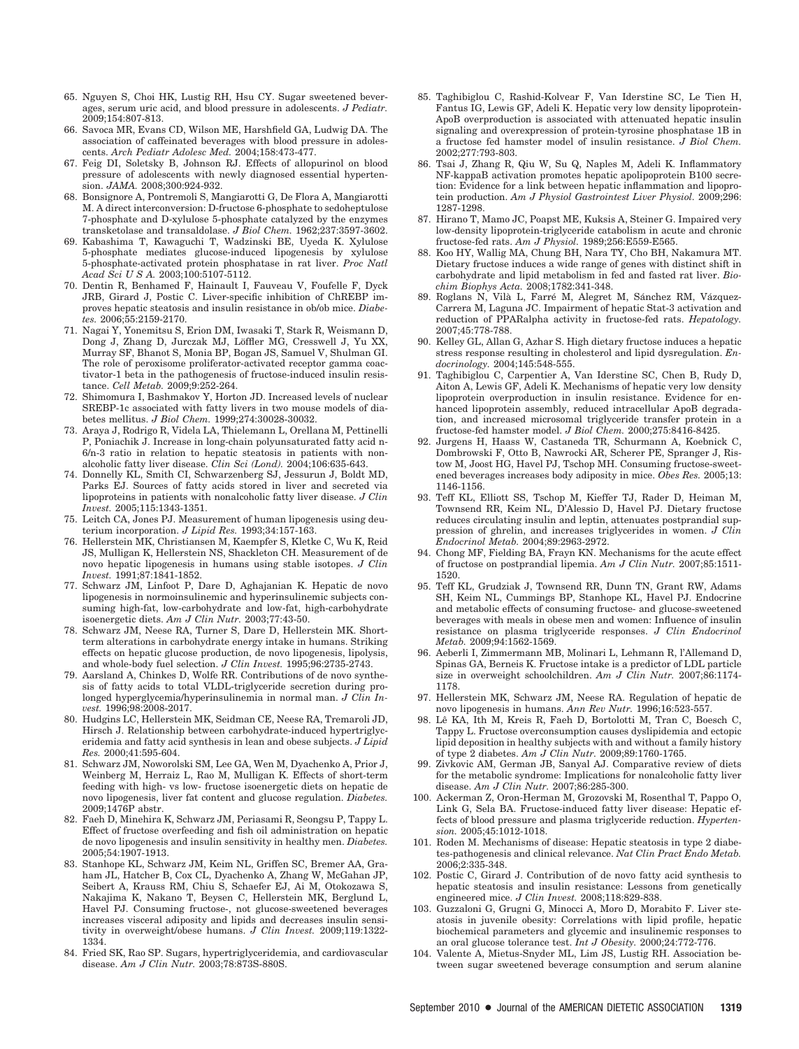- 65. Nguyen S, Choi HK, Lustig RH, Hsu CY. Sugar sweetened beverages, serum uric acid, and blood pressure in adolescents. *J Pediatr.* 2009;154:807-813.
- 66. Savoca MR, Evans CD, Wilson ME, Harshfield GA, Ludwig DA. The association of caffeinated beverages with blood pressure in adolescents. *Arch Pediatr Adolesc Med.* 2004;158:473-477.
- 67. Feig DI, Soletsky B, Johnson RJ. Effects of allopurinol on blood pressure of adolescents with newly diagnosed essential hypertension. *JAMA.* 2008;300:924-932.
- 68. Bonsignore A, Pontremoli S, Mangiarotti G, De Flora A, Mangiarotti M. A direct interconversion: D-fructose 6-phosphate to sedoheptulose 7-phosphate and D-xylulose 5-phosphate catalyzed by the enzymes transketolase and transaldolase. *J Biol Chem.* 1962;237:3597-3602.
- 69. Kabashima T, Kawaguchi T, Wadzinski BE, Uyeda K. Xylulose 5-phosphate mediates glucose-induced lipogenesis by xylulose 5-phosphate-activated protein phosphatase in rat liver. *Proc Natl Acad Sci U S A.* 2003;100:5107-5112.
- 70. Dentin R, Benhamed F, Hainault I, Fauveau V, Foufelle F, Dyck JRB, Girard J, Postic C. Liver-specific inhibition of ChREBP improves hepatic steatosis and insulin resistance in ob/ob mice. *Diabetes.* 2006;55:2159-2170.
- 71. Nagai Y, Yonemitsu S, Erion DM, Iwasaki T, Stark R, Weismann D, Dong J, Zhang D, Jurczak MJ, Löffler MG, Cresswell J, Yu XX, Murray SF, Bhanot S, Monia BP, Bogan JS, Samuel V, Shulman GI. The role of peroxisome proliferator-activated receptor gamma coactivator-1 beta in the pathogenesis of fructose-induced insulin resistance. *Cell Metab.* 2009;9:252-264.
- 72. Shimomura I, Bashmakov Y, Horton JD. Increased levels of nuclear SREBP-1c associated with fatty livers in two mouse models of diabetes mellitus. *J Biol Chem.* 1999;274:30028-30032.
- 73. Araya J, Rodrigo R, Videla LA, Thielemann L, Orellana M, Pettinelli P, Poniachik J. Increase in long-chain polyunsaturated fatty acid n-6/n-3 ratio in relation to hepatic steatosis in patients with nonalcoholic fatty liver disease. *Clin Sci (Lond).* 2004;106:635-643.
- 74. Donnelly KL, Smith CI, Schwarzenberg SJ, Jessurun J, Boldt MD, Parks EJ. Sources of fatty acids stored in liver and secreted via lipoproteins in patients with nonalcoholic fatty liver disease. *J Clin Invest.* 2005;115:1343-1351.
- 75. Leitch CA, Jones PJ. Measurement of human lipogenesis using deuterium incorporation. *J Lipid Res.* 1993;34:157-163.
- 76. Hellerstein MK, Christiansen M, Kaempfer S, Kletke C, Wu K, Reid JS, Mulligan K, Hellerstein NS, Shackleton CH. Measurement of de novo hepatic lipogenesis in humans using stable isotopes. *J Clin Invest.* 1991;87:1841-1852.
- 77. Schwarz JM, Linfoot P, Dare D, Aghajanian K. Hepatic de novo lipogenesis in normoinsulinemic and hyperinsulinemic subjects consuming high-fat, low-carbohydrate and low-fat, high-carbohydrate isoenergetic diets. *Am J Clin Nutr.* 2003;77:43-50.
- 78. Schwarz JM, Neese RA, Turner S, Dare D, Hellerstein MK. Shortterm alterations in carbohydrate energy intake in humans. Striking effects on hepatic glucose production, de novo lipogenesis, lipolysis, and whole-body fuel selection. *J Clin Invest.* 1995;96:2735-2743.
- 79. Aarsland A, Chinkes D, Wolfe RR. Contributions of de novo synthesis of fatty acids to total VLDL-triglyceride secretion during prolonged hyperglycemia/hyperinsulinemia in normal man. *J Clin Invest.* 1996;98:2008-2017.
- 80. Hudgins LC, Hellerstein MK, Seidman CE, Neese RA, Tremaroli JD, Hirsch J. Relationship between carbohydrate-induced hypertriglyceridemia and fatty acid synthesis in lean and obese subjects. *J Lipid Res.* 2000;41:595-604.
- 81. Schwarz JM, Noworolski SM, Lee GA, Wen M, Dyachenko A, Prior J, Weinberg M, Herraiz L, Rao M, Mulligan K. Effects of short-term feeding with high- vs low- fructose isoenergetic diets on hepatic de novo lipogenesis, liver fat content and glucose regulation. *Diabetes.* 2009;1476P abstr.
- 82. Faeh D, Minehira K, Schwarz JM, Periasami R, Seongsu P, Tappy L. Effect of fructose overfeeding and fish oil administration on hepatic de novo lipogenesis and insulin sensitivity in healthy men. *Diabetes.* 2005;54:1907-1913.
- 83. Stanhope KL, Schwarz JM, Keim NL, Griffen SC, Bremer AA, Graham JL, Hatcher B, Cox CL, Dyachenko A, Zhang W, McGahan JP, Seibert A, Krauss RM, Chiu S, Schaefer EJ, Ai M, Otokozawa S, Nakajima K, Nakano T, Beysen C, Hellerstein MK, Berglund L, Havel PJ. Consuming fructose-, not glucose-sweetened beverages increases visceral adiposity and lipids and decreases insulin sensitivity in overweight/obese humans. *J Clin Invest.* 2009;119:1322- 1334.
- 84. Fried SK, Rao SP. Sugars, hypertriglyceridemia, and cardiovascular disease. *Am J Clin Nutr.* 2003;78:873S-880S.
- 85. Taghibiglou C, Rashid-Kolvear F, Van Iderstine SC, Le Tien H, Fantus IG, Lewis GF, Adeli K. Hepatic very low density lipoprotein-ApoB overproduction is associated with attenuated hepatic insulin signaling and overexpression of protein-tyrosine phosphatase 1B in a fructose fed hamster model of insulin resistance. *J Biol Chem.* 2002;277:793-803.
- 86. Tsai J, Zhang R, Qiu W, Su Q, Naples M, Adeli K. Inflammatory NF-kappaB activation promotes hepatic apolipoprotein B100 secretion: Evidence for a link between hepatic inflammation and lipoprotein production. *Am J Physiol Gastrointest Liver Physiol.* 2009;296: 1287-1298.
- 87. Hirano T, Mamo JC, Poapst ME, Kuksis A, Steiner G. Impaired very low-density lipoprotein-triglyceride catabolism in acute and chronic fructose-fed rats. *Am J Physiol.* 1989;256:E559-E565.
- 88. Koo HY, Wallig MA, Chung BH, Nara TY, Cho BH, Nakamura MT. Dietary fructose induces a wide range of genes with distinct shift in carbohydrate and lipid metabolism in fed and fasted rat liver. *Biochim Biophys Acta.* 2008;1782:341-348.
- 89. Roglans N, Vilà L, Farré M, Alegret M, Sánchez RM, Vázquez-Carrera M, Laguna JC. Impairment of hepatic Stat-3 activation and reduction of PPARalpha activity in fructose-fed rats. *Hepatology.* 2007;45:778-788.
- 90. Kelley GL, Allan G, Azhar S. High dietary fructose induces a hepatic stress response resulting in cholesterol and lipid dysregulation. *Endocrinology.* 2004;145:548-555.
- 91. Taghibiglou C, Carpentier A, Van Iderstine SC, Chen B, Rudy D, Aiton A, Lewis GF, Adeli K. Mechanisms of hepatic very low density lipoprotein overproduction in insulin resistance. Evidence for enhanced lipoprotein assembly, reduced intracellular ApoB degradation, and increased microsomal triglyceride transfer protein in a fructose-fed hamster model. *J Biol Chem.* 2000;275:8416-8425.
- 92. Jurgens H, Haass W, Castaneda TR, Schurmann A, Koebnick C, Dombrowski F, Otto B, Nawrocki AR, Scherer PE, Spranger J, Ristow M, Joost HG, Havel PJ, Tschop MH. Consuming fructose-sweetened beverages increases body adiposity in mice. *Obes Res.* 2005;13: 1146-1156.
- 93. Teff KL, Elliott SS, Tschop M, Kieffer TJ, Rader D, Heiman M, Townsend RR, Keim NL, D'Alessio D, Havel PJ. Dietary fructose reduces circulating insulin and leptin, attenuates postprandial suppression of ghrelin, and increases triglycerides in women. *J Clin Endocrinol Metab.* 2004;89:2963-2972.
- 94. Chong MF, Fielding BA, Frayn KN. Mechanisms for the acute effect of fructose on postprandial lipemia. *Am J Clin Nutr.* 2007;85:1511- 1520.
- 95. Teff KL, Grudziak J, Townsend RR, Dunn TN, Grant RW, Adams SH, Keim NL, Cummings BP, Stanhope KL, Havel PJ. Endocrine and metabolic effects of consuming fructose- and glucose-sweetened beverages with meals in obese men and women: Influence of insulin resistance on plasma triglyceride responses. *J Clin Endocrinol Metab.* 2009;94:1562-1569.
- 96. Aeberli I, Zimmermann MB, Molinari L, Lehmann R, l'Allemand D, Spinas GA, Berneis K. Fructose intake is a predictor of LDL particle size in overweight schoolchildren. *Am J Clin Nutr.* 2007;86:1174- 1178.
- 97. Hellerstein MK, Schwarz JM, Neese RA. Regulation of hepatic de novo lipogenesis in humans. *Ann Rev Nutr.* 1996;16:523-557.
- 98. Lê KA, Ith M, Kreis R, Faeh D, Bortolotti M, Tran C, Boesch C, Tappy L. Fructose overconsumption causes dyslipidemia and ectopic lipid deposition in healthy subjects with and without a family history of type 2 diabetes. *Am J Clin Nutr.* 2009;89:1760-1765.
- Zivkovic AM, German JB, Sanyal AJ. Comparative review of diets for the metabolic syndrome: Implications for nonalcoholic fatty liver disease. *Am J Clin Nutr.* 2007;86:285-300.
- 100. Ackerman Z, Oron-Herman M, Grozovski M, Rosenthal T, Pappo O, Link G, Sela BA. Fructose-induced fatty liver disease: Hepatic effects of blood pressure and plasma triglyceride reduction. *Hypertension.* 2005;45:1012-1018.
- 101. Roden M. Mechanisms of disease: Hepatic steatosis in type 2 diabetes-pathogenesis and clinical relevance. *Nat Clin Pract Endo Metab.* 2006;2:335-348.
- 102. Postic C, Girard J. Contribution of de novo fatty acid synthesis to hepatic steatosis and insulin resistance: Lessons from genetically engineered mice. *J Clin Invest.* 2008;118:829-838.
- 103. Guzzaloni G, Grugni G, Minocci A, Moro D, Morabito F. Liver steatosis in juvenile obesity: Correlations with lipid profile, hepatic biochemical parameters and glycemic and insulinemic responses to an oral glucose tolerance test. *Int J Obesity.* 2000;24:772-776.
- 104. Valente A, Mietus-Snyder ML, Lim JS, Lustig RH. Association between sugar sweetened beverage consumption and serum alanine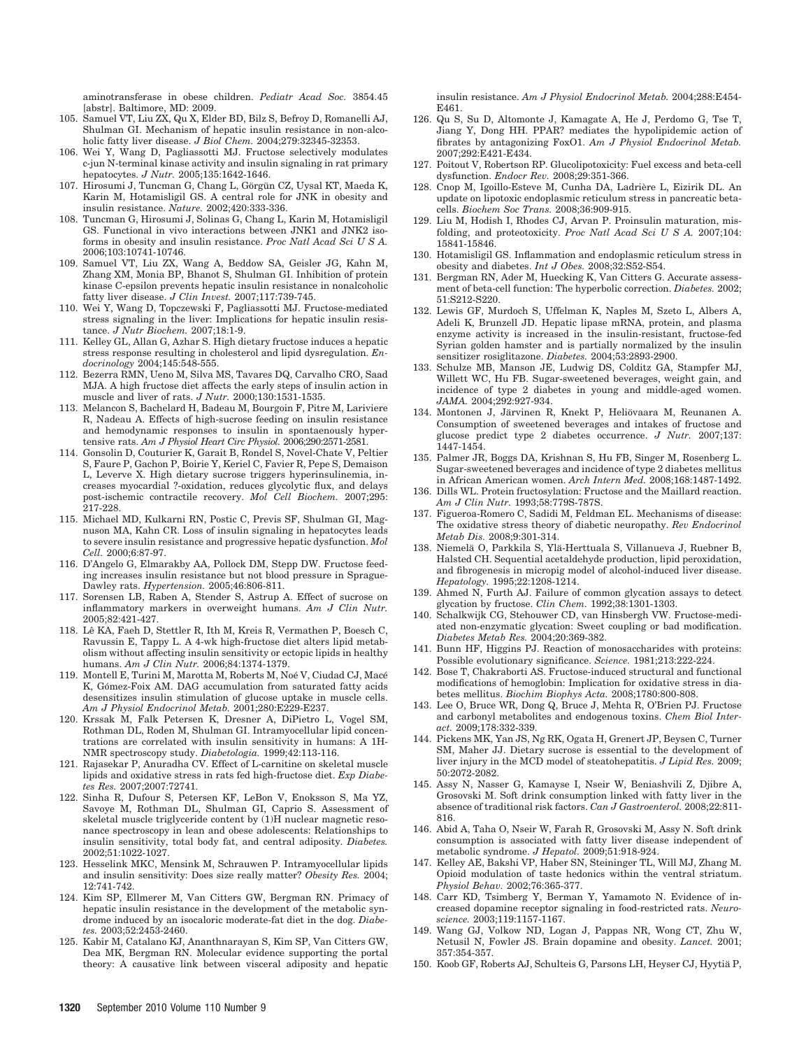aminotransferase in obese children. *Pediatr Acad Soc.* 3854.45 [abstr]. Baltimore, MD: 2009.

- 105. Samuel VT, Liu ZX, Qu X, Elder BD, Bilz S, Befroy D, Romanelli AJ, Shulman GI. Mechanism of hepatic insulin resistance in non-alcoholic fatty liver disease. *J Biol Chem.* 2004;279:32345-32353.
- 106. Wei Y, Wang D, Pagliassotti MJ. Fructose selectively modulates c-jun N-terminal kinase activity and insulin signaling in rat primary hepatocytes. *J Nutr.* 2005;135:1642-1646.
- 107. Hirosumi J, Tuncman G, Chang L, Görgün CZ, Uysal KT, Maeda K, Karin M, Hotamisligil GS. A central role for JNK in obesity and insulin resistance. *Nature.* 2002;420:333-336.
- 108. Tuncman G, Hirosumi J, Solinas G, Chang L, Karin M, Hotamisligil GS. Functional in vivo interactions between JNK1 and JNK2 isoforms in obesity and insulin resistance. *Proc Natl Acad Sci U S A.* 2006;103:10741-10746.
- 109. Samuel VT, Liu ZX, Wang A, Beddow SA, Geisler JG, Kahn M, Zhang XM, Monia BP, Bhanot S, Shulman GI. Inhibition of protein kinase C-epsilon prevents hepatic insulin resistance in nonalcoholic fatty liver disease. *J Clin Invest.* 2007;117:739-745.
- 110. Wei Y, Wang D, Topczewski F, Pagliassotti MJ. Fructose-mediated stress signaling in the liver: Implications for hepatic insulin resistance. *J Nutr Biochem.* 2007;18:1-9.
- 111. Kelley GL, Allan G, Azhar S. High dietary fructose induces a hepatic stress response resulting in cholesterol and lipid dysregulation. *Endocrinology* 2004;145:548-555.
- 112. Bezerra RMN, Ueno M, Silva MS, Tavares DQ, Carvalho CRO, Saad MJA. A high fructose diet affects the early steps of insulin action in muscle and liver of rats. *J Nutr.* 2000;130:1531-1535.
- 113. Melancon S, Bachelard H, Badeau M, Bourgoin F, Pitre M, Lariviere R, Nadeau A. Effects of high-sucrose feeding on insulin resistance and hemodynamic responses to insulin in spontaenously hypertensive rats. *Am J Physiol Heart Circ Physiol.* 2006;290:2571-2581.
- 114. Gonsolin D, Couturier K, Garait B, Rondel S, Novel-Chate V, Peltier S, Faure P, Gachon P, Boirie Y, Keriel C, Favier R, Pepe S, Demaison L, Leverve X. High dietary sucrose triggers hyperinsulinemia, increases myocardial ?-oxidation, reduces glycolytic flux, and delays post-ischemic contractile recovery. *Mol Cell Biochem.* 2007;295: 217-228.
- 115. Michael MD, Kulkarni RN, Postic C, Previs SF, Shulman GI, Magnuson MA, Kahn CR. Loss of insulin signaling in hepatocytes leads to severe insulin resistance and progressive hepatic dysfunction. *Mol Cell.* 2000;6:87-97.
- 116. D'Angelo G, Elmarakby AA, Pollock DM, Stepp DW. Fructose feeding increases insulin resistance but not blood pressure in Sprague-Dawley rats. *Hypertension.* 2005;46:806-811.
- 117. Sorensen LB, Raben A, Stender S, Astrup A. Effect of sucrose on inflammatory markers in overweight humans. *Am J Clin Nutr.* 2005;82:421-427.
- 118. Lê KA, Faeh D, Stettler R, Ith M, Kreis R, Vermathen P, Boesch C, Ravussin E, Tappy L. A 4-wk high-fructose diet alters lipid metabolism without affecting insulin sensitivity or ectopic lipids in healthy humans. *Am J Clin Nutr.* 2006;84:1374-1379.
- 119. Montell E, Turini M, Marotta M, Roberts M, Noé V, Ciudad CJ, Macé K, Gómez-Foix AM. DAG accumulation from saturated fatty acids desensitizes insulin stimulation of glucose uptake in muscle cells. *Am J Physiol Endocrinol Metab.* 2001;280:E229-E237.
- 120. Krssak M, Falk Petersen K, Dresner A, DiPietro L, Vogel SM, Rothman DL, Roden M, Shulman GI. Intramyocellular lipid concentrations are correlated with insulin sensitivity in humans: A 1H-NMR spectroscopy study. *Diabetologia.* 1999;42:113-116.
- 121. Rajasekar P, Anuradha CV. Effect of L-carnitine on skeletal muscle lipids and oxidative stress in rats fed high-fructose diet. *Exp Diabetes Res.* 2007;2007:72741.
- 122. Sinha R, Dufour S, Petersen KF, LeBon V, Enoksson S, Ma YZ, Savoye M, Rothman DL, Shulman GI, Caprio S. Assessment of skeletal muscle triglyceride content by (1)H nuclear magnetic resonance spectroscopy in lean and obese adolescents: Relationships to insulin sensitivity, total body fat, and central adiposity. *Diabetes.* 2002;51:1022-1027.
- 123. Hesselink MKC, Mensink M, Schrauwen P. Intramyocellular lipids and insulin sensitivity: Does size really matter? *Obesity Res.* 2004; 12:741-742.
- 124. Kim SP, Ellmerer M, Van Citters GW, Bergman RN. Primacy of hepatic insulin resistance in the development of the metabolic syndrome induced by an isocaloric moderate-fat diet in the dog. *Diabetes.* 2003;52:2453-2460.
- 125. Kabir M, Catalano KJ, Ananthnarayan S, Kim SP, Van Citters GW, Dea MK, Bergman RN. Molecular evidence supporting the portal theory: A causative link between visceral adiposity and hepatic

insulin resistance. *Am J Physiol Endocrinol Metab.* 2004;288:E454- E461.

- 126. Qu S, Su D, Altomonte J, Kamagate A, He J, Perdomo G, Tse T, Jiang Y, Dong HH. PPAR? mediates the hypolipidemic action of fibrates by antagonizing FoxO1. *Am J Physiol Endocrinol Metab.* 2007;292:E421-E434.
- 127. Poitout V, Robertson RP. Glucolipotoxicity: Fuel excess and beta-cell dysfunction. *Endocr Rev.* 2008;29:351-366.
- 128. Cnop M, Igoillo-Esteve M, Cunha DA, Ladrière L, Eizirik DL. An update on lipotoxic endoplasmic reticulum stress in pancreatic betacells. *Biochem Soc Trans.* 2008;36:909-915.
- 129. Liu M, Hodish I, Rhodes CJ, Arvan P. Proinsulin maturation, misfolding, and proteotoxicity. *Proc Natl Acad Sci U S A.* 2007;104: 15841-15846.
- 130. Hotamisligil GS. Inflammation and endoplasmic reticulum stress in obesity and diabetes. *Int J Obes.* 2008;32:S52-S54.
- 131. Bergman RN, Ader M, Huecking K, Van Citters G. Accurate assessment of beta-cell function: The hyperbolic correction. *Diabetes.* 2002; 51:S212-S220.
- 132. Lewis GF, Murdoch S, Uffelman K, Naples M, Szeto L, Albers A, Adeli K, Brunzell JD. Hepatic lipase mRNA, protein, and plasma enzyme activity is increased in the insulin-resistant, fructose-fed Syrian golden hamster and is partially normalized by the insulin sensitizer rosiglitazone. *Diabetes.* 2004;53:2893-2900.
- 133. Schulze MB, Manson JE, Ludwig DS, Colditz GA, Stampfer MJ, Willett WC, Hu FB. Sugar-sweetened beverages, weight gain, and incidence of type 2 diabetes in young and middle-aged women. *JAMA.* 2004;292:927-934.
- 134. Montonen J, Järvinen R, Knekt P, Heliövaara M, Reunanen A. Consumption of sweetened beverages and intakes of fructose and glucose predict type 2 diabetes occurrence. *J Nutr.* 2007;137: 1447-1454.
- 135. Palmer JR, Boggs DA, Krishnan S, Hu FB, Singer M, Rosenberg L. Sugar-sweetened beverages and incidence of type 2 diabetes mellitus in African American women. *Arch Intern Med.* 2008;168:1487-1492.
- 136. Dills WL. Protein fructosylation: Fructose and the Maillard reaction. *Am J Clin Nutr.* 1993;58:779S-787S.
- 137. Figueroa-Romero C, Sadidi M, Feldman EL. Mechanisms of disease: The oxidative stress theory of diabetic neuropathy. *Rev Endocrinol Metab Dis.* 2008;9:301-314.
- 138. Niemelä O, Parkkila S, Ylä-Herttuala S, Villanueva J, Ruebner B, Halsted CH. Sequential acetaldehyde production, lipid peroxidation, and fibrogenesis in micropig model of alcohol-induced liver disease. *Hepatology.* 1995;22:1208-1214.
- 139. Ahmed N, Furth AJ. Failure of common glycation assays to detect glycation by fructose. *Clin Chem.* 1992;38:1301-1303.
- 140. Schalkwijk CG, Stehouwer CD, van Hinsbergh VW. Fructose-mediated non-enzymatic glycation: Sweet coupling or bad modification. *Diabetes Metab Res.* 2004;20:369-382.
- 141. Bunn HF, Higgins PJ. Reaction of monosaccharides with proteins: Possible evolutionary significance. *Science.* 1981;213:222-224.
- 142. Bose T, Chakraborti AS. Fructose-induced structural and functional modifications of hemoglobin: Implication for oxidative stress in diabetes mellitus. *Biochim Biophys Acta.* 2008;1780:800-808.
- 143. Lee O, Bruce WR, Dong Q, Bruce J, Mehta R, O'Brien PJ. Fructose and carbonyl metabolites and endogenous toxins. *Chem Biol Interact.* 2009;178:332-339.
- 144. Pickens MK, Yan JS, Ng RK, Ogata H, Grenert JP, Beysen C, Turner SM, Maher JJ. Dietary sucrose is essential to the development of liver injury in the MCD model of steatohepatitis. *J Lipid Res.* 2009; 50:2072-2082.
- 145. Assy N, Nasser G, Kamayse I, Nseir W, Beniashvili Z, Djibre A, Grosovski M. Soft drink consumption linked with fatty liver in the absence of traditional risk factors. *Can J Gastroenterol.* 2008;22:811- 816.
- 146. Abid A, Taha O, Nseir W, Farah R, Grosovski M, Assy N. Soft drink consumption is associated with fatty liver disease independent of metabolic syndrome. *J Hepatol.* 2009;51:918-924.
- 147. Kelley AE, Bakshi VP, Haber SN, Steininger TL, Will MJ, Zhang M. Opioid modulation of taste hedonics within the ventral striatum. *Physiol Behav.* 2002;76:365-377.
- 148. Carr KD, Tsimberg Y, Berman Y, Yamamoto N. Evidence of increased dopamine receptor signaling in food-restricted rats. *Neuroscience.* 2003;119:1157-1167.
- 149. Wang GJ, Volkow ND, Logan J, Pappas NR, Wong CT, Zhu W, Netusil N, Fowler JS. Brain dopamine and obesity. *Lancet.* 2001; 357:354-357.
- 150. Koob GF, Roberts AJ, Schulteis G, Parsons LH, Heyser CJ, Hyytiä P,